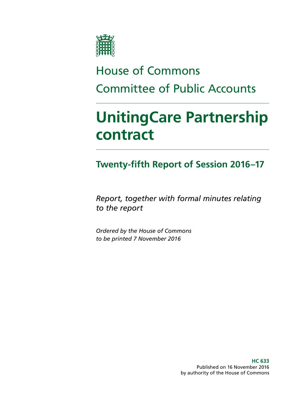

# House of Commons Committee of Public Accounts

# **UnitingCare Partnership contract**

## **Twenty-fifth Report of Session 2016–17**

*Report, together with formal minutes relating to the report*

*Ordered by the House of Commons to be printed 7 November 2016*

> **HC 633** Published on 16 November 2016 by authority of the House of Commons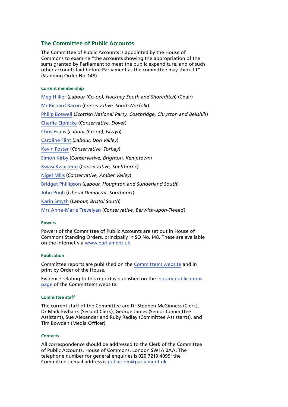#### **The Committee of Public Accounts**

The Committee of Public Accounts is appointed by the House of Commons to examine "the accounts showing the appropriation of the sums granted by Parliament to meet the public expenditure, and of such other accounts laid before Parliament as the committee may think fit" (Standing Order No.148).

#### **Current membership**

[Meg Hillier](http://www.parliament.uk/biographies/commons/meg-hillier/1524) (*Labour (Co-op), Hackney South and Shoreditch*) (Chair) [Mr Richard Bacon](http://www.parliament.uk/biographies/commons/mr-richard-bacon/1451) (*Conservative, South Norfolk*) [Philip Boswell](https://www.parliament.uk/biographies/commons/philip-boswell/4388) (*Scottish National Party, Coatbridge, Chryston and Bellshill*) [Charlie Elphicke](https://www.parliament.uk/biographies/commons/Charlie-Elphicke/3971) (*Conservative, Dover*) [Chris Evans](http://www.parliament.uk/biographies/commons/chris-evans/4040) (*Labour (Co-op), Islwyn*) [Caroline Flint](http://www.parliament.uk/biographies/commons/caroline-flint/389) (*Labour, Don Valley*) [Kevin Foster](http://www.parliament.uk/biographies/commons/kevin-foster/4451) (*Conservative, Torbay*) [Simon Kirby](https://www.parliament.uk/biographies/commons/simon-kirby/3929) (*Conservative, Brighton, Kemptown*) [Kwasi Kwarteng](https://www.parliament.uk/biographies/commons/kwasi-kwarteng/4134) (*Conservative, Spelthorne*) [Nigel Mills](http://www.parliament.uk/biographies/commons/nigel-mills/4136) (*Conservative, Amber Valley*) [Bridget Phillipson](http://www.parliament.uk/biographies/commons/bridget-phillipson/4046) (*Labour, Houghton and Sunderland South*) [John Pugh](http://www.parliament.uk/biographies/commons/john-pugh/1454) (*Liberal Democrat, Southport*) [Karin Smyth](http://www.parliament.uk/biographies/commons/karin-smyth/4444) (*Labour, Bristol South*) [Mrs Anne-Marie Trevelyan](http://www.parliament.uk/biographies/commons/mrs-anne-marie-trevelyan/4531) (*Conservative, Berwick-upon-Tweed*)

#### **Powers**

Powers of the Committee of Public Accounts are set out in House of Commons Standing Orders, principally in SO No.148. These are available on the Internet via [www.parliament.uk.](http://www.parliament.uk)

#### **Publication**

Committee reports are published on the [Committee's website](http://www.parliament.uk/business/committees/committees-a-z/commons-select/public-accounts-committee/) and in print by Order of the House.

Evidence relating to this report is published on the [inquiry publications](https://www.parliament.uk/business/committees/committees-a-z/commons-select/public-accounts-committee/inquiries/parliament-2015/unitingcare-partnership-contract-16-17/publications/)  [page](https://www.parliament.uk/business/committees/committees-a-z/commons-select/public-accounts-committee/inquiries/parliament-2015/unitingcare-partnership-contract-16-17/publications/) of the Committee's website.

#### **Committee staff**

The current staff of the Committee are Dr Stephen McGinness (Clerk), Dr Mark Ewbank (Second Clerk), George James (Senior Committee Assistant), Sue Alexander and Ruby Radley (Committee Assistants), and Tim Bowden (Media Officer).

#### **Contacts**

All correspondence should be addressed to the Clerk of the Committee of Public Accounts, House of Commons, London SW1A 0AA. The telephone number for general enquiries is 020 7219 4099; the Committee's email address is [pubaccom@parliament.uk.](mailto:pubaccom@parliament.uk)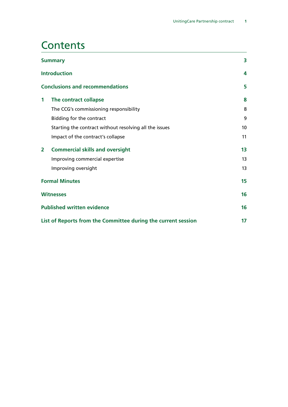## **Contents**

| <b>Summary</b>                                                |                                                        | 3  |
|---------------------------------------------------------------|--------------------------------------------------------|----|
|                                                               | <b>Introduction</b>                                    | 4  |
|                                                               | <b>Conclusions and recommendations</b>                 | 5  |
| 1                                                             | The contract collapse                                  | 8  |
|                                                               | The CCG's commissioning responsibility                 | 8  |
|                                                               | Bidding for the contract                               | 9  |
|                                                               | Starting the contract without resolving all the issues | 10 |
|                                                               | Impact of the contract's collapse                      | 11 |
| $\mathbf{2}$                                                  | <b>Commercial skills and oversight</b>                 | 13 |
|                                                               | Improving commercial expertise                         | 13 |
|                                                               | Improving oversight                                    | 13 |
| <b>Formal Minutes</b>                                         |                                                        | 15 |
| <b>Witnesses</b>                                              |                                                        | 16 |
| <b>Published written evidence</b>                             |                                                        |    |
| List of Reports from the Committee during the current session |                                                        |    |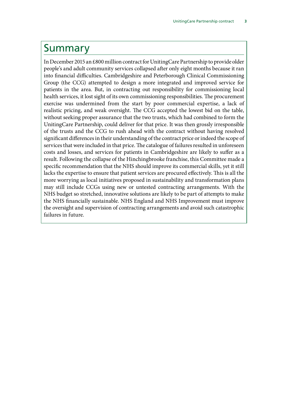## <span id="page-4-0"></span>Summary

In December 2015 an £800 million contract for UnitingCare Partnership to provide older people's and adult community services collapsed after only eight months because it ran into financial difficulties. Cambridgeshire and Peterborough Clinical Commissioning Group (the CCG) attempted to design a more integrated and improved service for patients in the area. But, in contracting out responsibility for commissioning local health services, it lost sight of its own commissioning responsibilities. The procurement exercise was undermined from the start by poor commercial expertise, a lack of realistic pricing, and weak oversight. The CCG accepted the lowest bid on the table, without seeking proper assurance that the two trusts, which had combined to form the UnitingCare Partnership, could deliver for that price. It was then grossly irresponsible of the trusts and the CCG to rush ahead with the contract without having resolved significant differences in their understanding of the contract price or indeed the scope of services that were included in that price. The catalogue of failures resulted in unforeseen costs and losses, and services for patients in Cambridgeshire are likely to suffer as a result. Following the collapse of the Hinchingbrooke franchise, this Committee made a specific recommendation that the NHS should improve its commercial skills, yet it still lacks the expertise to ensure that patient services are procured effectively. This is all the more worrying as local initiatives proposed in sustainability and transformation plans may still include CCGs using new or untested contracting arrangements. With the NHS budget so stretched, innovative solutions are likely to be part of attempts to make the NHS financially sustainable. NHS England and NHS Improvement must improve the oversight and supervision of contracting arrangements and avoid such catastrophic failures in future.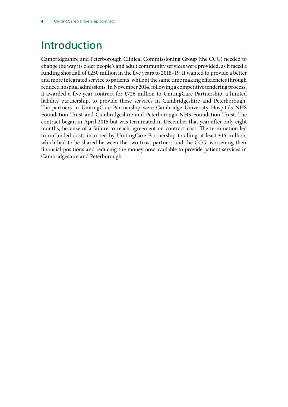# <span id="page-5-0"></span>Introduction

Cambridgeshire and Peterborough Clinical Commissioning Group (the CCG) needed to change the way its older people's and adult community services were provided, as it faced a funding shortfall of £250 million in the five years to 2018–19. It wanted to provide a better and more integrated service to patients, while at the same time making efficiencies through reduced hospital admissions. In November 2014, following a competitive tendering process, it awarded a five-year contract for £726 million to UnitingCare Partnership, a limited liability partnership, to provide these services in Cambridgeshire and Peterborough. The partners in UnitingCare Partnership were Cambridge University Hospitals NHS Foundation Trust and Cambridgeshire and Peterborough NHS Foundation Trust. The contract began in April 2015 but was terminated in December that year after only eight months, because of a failure to reach agreement on contract cost. The termination led to unfunded costs incurred by UnitingCare Partnership totalling at least £16 million, which had to be shared between the two trust partners and the CCG, worsening their financial positions and reducing the money now available to provide patient services in Cambridgeshire and Peterborough.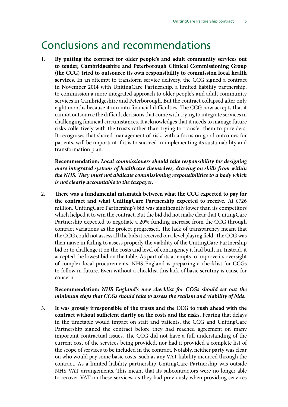## <span id="page-6-0"></span>Conclusions and recommendations

1. **By putting the contract for older people's and adult community services out to tender, Cambridgeshire and Peterborough Clinical Commissioning Group (the CCG) tried to outsource its own responsibility to commission local health services.** In an attempt to transform service delivery, the CCG signed a contract in November 2014 with UnitingCare Partnership, a limited liability partnership, to commission a more integrated approach to older people's and adult community services in Cambridgeshire and Peterborough. But the contract collapsed after only eight months because it ran into financial difficulties. The CCG now accepts that it cannot outsource the difficult decisions that come with trying to integrate services in challenging financial circumstances. It acknowledges that it needs to manage future risks collectively with the trusts rather than trying to transfer them to providers. It recognises that shared management of risk, with a focus on good outcomes for patients, will be important if it is to succeed in implementing its sustainability and transformation plan.

**Recommendation:** *Local commissioners should take responsibility for designing more integrated systems of healthcare themselves, drawing on skills from within the NHS. They must not abdicate commissioning responsibilities to a body which is not clearly accountable to the taxpayer.*

2. **There was a fundamental mismatch between what the CCG expected to pay for the contract and what UnitingCare Partnership expected to receive.** At £726 million, UnitingCare Partnership's bid was significantly lower than its competitors which helped it to win the contract. But the bid did not make clear that UnitingCare Partnership expected to negotiate a 20% funding increase from the CCG through contract variations as the project progressed. The lack of transparency meant that the CCG could not assess all the bids it received on a level playing field. The CCG was then naïve in failing to assess properly the viability of the UnitingCare Partnership bid or to challenge it on the costs and level of contingency it had built in. Instead, it accepted the lowest bid on the table. As part of its attempts to improve its oversight of complex local procurements, NHS England is preparing a checklist for CCGs to follow in future. Even without a checklist this lack of basic scrutiny is cause for concern.

#### **Recommendation:** *NHS England's new checklist for CCGs should set out the minimum steps that CCGs should take to assess the realism and viability of bids.*

3. **It was grossly irresponsible of the trusts and the CCG to rush ahead with the contract without sufficient clarity on the costs and the risks.** Fearing that delays in the timetable would impact on staff and patients, the CCG and UnitingCare Partnership signed the contract before they had reached agreement on many important contractual issues. The CCG did not have a full understanding of the current cost of the services being provided, nor had it provided a complete list of the scope of services to be included in the contract. Notably, neither party was clear on who would pay some basic costs, such as any VAT liability incurred through the contract. As a limited liability partnership UnitingCare Partnership was outside NHS VAT arrangements. This meant that its subcontractors were no longer able to recover VAT on these services, as they had previously when providing services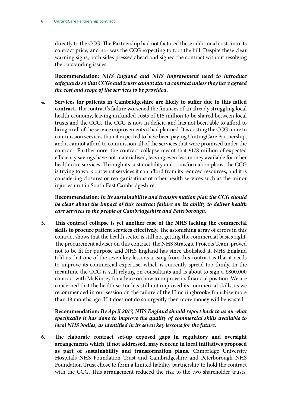directly to the CCG. The Partnership had not factored these additional costs into its contract price, and nor was the CCG expecting to foot the bill. Despite these clear warning signs, both sides pressed ahead and signed the contract without resolving the outstanding issues.

**Recommendation:** *NHS England and NHS Improvement need to introduce safeguards so that CCGs and trusts cannot start a contract unless they have agreed the cost and scope of the services to be provided.*

4. **Services for patients in Cambridgeshire are likely to suffer due to this failed contract.** The contract's failure worsened the finances of an already struggling local health economy, leaving unfunded costs of £16 million to be shared between local trusts and the CCG. The CCG is now in deficit, and has not been able to afford to bring in all of the service improvements it had planned. It is costing the CCG more to commission services than it expected to have been paying UnitingCare Partnership, and it cannot afford to commission all of the services that were promised under the contract. Furthermore, the contract collapse meant that £178 million of expected efficiency savings have not materialised, leaving even less money available for other health care services. Through its sustainability and transformation plans, the CCG is trying to work out what services it can afford from its reduced resources, and it is considering closures or reorganisations of other health services such as the minor injuries unit in South East Cambridgeshire.

**Recommendation:** *In its sustainability and transformation plan the CCG should be clear about the impact of this contract failure on its ability to deliver health care services to the people of Cambridgeshire and Peterborough.*

5. **This contract collapse is yet another case of the NHS lacking the commercial skills to procure patient services effectively.** The astonishing array of errors in this contract shows that the health sector is still not getting the commercial basics right. The procurement adviser on this contract, the NHS Strategic Projects Team, proved not to be fit for purpose and NHS England has since abolished it. NHS England told us that one of the seven key lessons arising from this contract is that it needs to improve its commercial expertise, which is currently spread too thinly. In the meantime the CCG is still relying on consultants and is about to sign a £800,000 contract with McKinsey for advice on how to improve its financial position. We are concerned that the health sector has still not improved its commercial skills, as we recommended in our session on the failure of the Hinchingbrooke franchise more than 18 months ago. If it does not do so urgently then more money will be wasted.

**Recommendation:** *By April 2017, NHS England should report back to us on what specifically it has done to improve the quality of commercial skills available to local NHS bodies, as identified in its seven key lessons for the future.*

6. **The elaborate contract set-up exposed gaps in regulatory and oversight arrangements which, if not addressed, may reoccur in local initiatives proposed as part of sustainability and transformation plans.** Cambridge University Hospitals NHS Foundation Trust and Cambridgeshire and Peterborough NHS Foundation Trust chose to form a limited liability partnership to hold the contract with the CCG. This arrangement reduced the risk to the two shareholder trusts.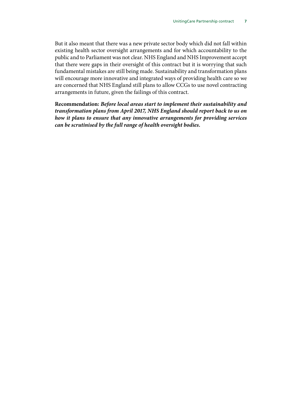But it also meant that there was a new private sector body which did not fall within existing health sector oversight arrangements and for which accountability to the public and to Parliament was not clear. NHS England and NHS Improvement accept that there were gaps in their oversight of this contract but it is worrying that such fundamental mistakes are still being made. Sustainability and transformation plans will encourage more innovative and integrated ways of providing health care so we are concerned that NHS England still plans to allow CCGs to use novel contracting arrangements in future, given the failings of this contract.

**Recommendation:** *Before local areas start to implement their sustainability and transformation plans from April 2017, NHS England should report back to us on how it plans to ensure that any innovative arrangements for providing services can be scrutinised by the full range of health oversight bodies.*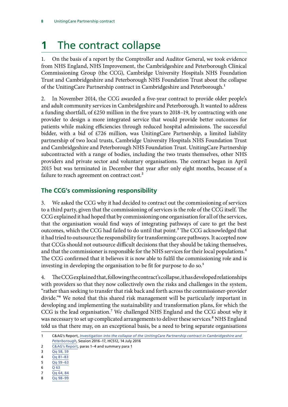# <span id="page-9-0"></span>**1** The contract collapse

1. On the basis of a report by the Comptroller and Auditor General, we took evidence from NHS England, NHS Improvement, the Cambridgeshire and Peterborough Clinical Commissioning Group (the CCG), Cambridge University Hospitals NHS Foundation Trust and Cambridgeshire and Peterborough NHS Foundation Trust about the collapse of the UnitingCare Partnership contract in Cambridgeshire and Peterborough.<sup>1</sup>

2. In November 2014, the CCG awarded a five-year contract to provide older people's and adult community services in Cambridgeshire and Peterborough. It wanted to address a funding shortfall, of £250 million in the five years to 2018–19, by contracting with one provider to design a more integrated service that would provide better outcomes for patients while making efficiencies through reduced hospital admissions. The successful bidder, with a bid of £726 million, was UnitingCare Partnership, a limited liability partnership of two local trusts, Cambridge University Hospitals NHS Foundation Trust and Cambridgeshire and Peterborough NHS Foundation Trust. UnitingCare Partnership subcontracted with a range of bodies, including the two trusts themselves, other NHS providers and private sector and voluntary organisations. The contract began in April 2015 but was terminated in December that year after only eight months, because of a failure to reach agreement on contract cost.<sup>2</sup>

### **The CCG's commissioning responsibility**

3. We asked the CCG why it had decided to contract out the commissioning of services to a third party, given that the commissioning of services is the role of the CCG itself. The CCG explained it had hoped that by commissioning one organisation for all of the services, that the organisation would find ways of integrating pathways of care to get the best outcomes, which the CCG had failed to do until that point.<sup>3</sup> The CCG acknowledged that it had tried to outsource the responsibility for transforming care pathways. It accepted now that CCGs should not outsource difficult decisions that they should be taking themselves, and that the commissioner is responsible for the NHS services for their local populations.<sup>4</sup> The CCG confirmed that it believes it is now able to fulfil the commissioning role and is investing in developing the organisation to be fit for purpose to do so.<sup>5</sup>

4. The CCG explained that, following the contract's collapse, it has developed relationships with providers so that they now collectively own the risks and challenges in the system, "rather than seeking to transfer that risk back and forth across the commissioner-provider divide."6 We noted that this shared risk management will be particularly important in developing and implementing the sustainability and transformation plans, for which the CCG is the lead organisation.<sup>7</sup> We challenged NHS England and the CCG about why it was necessary to set up complicated arrangements to deliver these services.<sup>8</sup> NHS England told us that there may, on an exceptional basis, be a need to bring separate organisations

5 Qq [59–63](http://data.parliament.uk/writtenevidence/committeeevidence.svc/evidencedocument/public-accounts-committee/unitingcare-partnership-contract/oral/38268.pdf)

- 7 Qq [64, 84](http://data.parliament.uk/writtenevidence/committeeevidence.svc/evidencedocument/public-accounts-committee/unitingcare-partnership-contract/oral/38268.pdf)
- 8 Qq [98–99](http://data.parliament.uk/writtenevidence/committeeevidence.svc/evidencedocument/public-accounts-committee/unitingcare-partnership-contract/oral/38268.pdf)

<sup>1</sup> C&AG's Report, *[Investigation into the collapse of the UnitingCare Partnership contract in Cambridgeshire and](https://www.nao.org.uk/wp-content/uploads/2016/07/The-collapse-of-the-UnitingCare-Partnership-contract-in-Cambridgeshire-and-Peterborough.pdf)  [Peterborough](https://www.nao.org.uk/wp-content/uploads/2016/07/The-collapse-of-the-UnitingCare-Partnership-contract-in-Cambridgeshire-and-Peterborough.pdf)*, Session 2016–17, HC512, 14 July 2016

<sup>2</sup> [C&AG's Report,](https://www.nao.org.uk/wp-content/uploads/2016/07/The-collapse-of-the-UnitingCare-Partnership-contract-in-Cambridgeshire-and-Peterborough.pdf) paras 1–4 and summary para 1

<sup>3</sup> Qq [58, 59](http://data.parliament.uk/writtenevidence/committeeevidence.svc/evidencedocument/public-accounts-committee/unitingcare-partnership-contract/oral/38268.pdf)

<sup>4</sup> Qq [81–83](http://data.parliament.uk/writtenevidence/committeeevidence.svc/evidencedocument/public-accounts-committee/unitingcare-partnership-contract/oral/38268.pdf)

<sup>6</sup> Q [63](http://data.parliament.uk/writtenevidence/committeeevidence.svc/evidencedocument/public-accounts-committee/unitingcare-partnership-contract/oral/38268.pdf)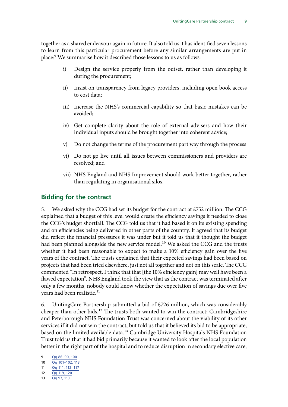<span id="page-10-0"></span>together as a shared endeavour again in future. It also told us it has identified seven lessons to learn from this particular procurement before any similar arrangements are put in place:9 We summarise how it described those lessons to us as follows:

- i) Design the service properly from the outset, rather than developing it during the procurement;
- ii) Insist on transparency from legacy providers, including open book access to cost data;
- iii) Increase the NHS's commercial capability so that basic mistakes can be avoided;
- iv) Get complete clarity about the role of external advisers and how their individual inputs should be brought together into coherent advice;
- v) Do not change the terms of the procurement part way through the process
- vi) Do not go live until all issues between commissioners and providers are resolved; and
- vii) NHS England and NHS Improvement should work better together, rather than regulating in organisational silos.

### **Bidding for the contract**

5. We asked why the CCG had set its budget for the contract at £752 million. The CCG explained that a budget of this level would create the efficiency savings it needed to close the CCG's budget shortfall. The CCG told us that it had based it on its existing spending and on efficiencies being delivered in other parts of the country. It agreed that its budget did reflect the financial pressures it was under but it told us that it thought the budget had been planned alongside the new service model.<sup>10</sup> We asked the CCG and the trusts whether it had been reasonable to expect to make a 10% efficiency gain over the five years of the contract. The trusts explained that their expected savings had been based on projects that had been tried elsewhere, just not all together and not on this scale. The CCG commented "In retrospect, I think that that [the 10% efficiency gain] may well have been a flawed expectation". NHS England took the view that as the contract was terminated after only a few months, nobody could know whether the expectation of savings due over five years had been realistic.<sup>11</sup>

6. UnitingCare Partnership submitted a bid of  $£726$  million, which was considerably cheaper than other bids.<sup>12</sup> The trusts both wanted to win the contract: Cambridgeshire and Peterborough NHS Foundation Trust was concerned about the viability of its other services if it did not win the contract, but told us that it believed its bid to be appropriate, based on the limited available data.<sup>13</sup> Cambridge University Hospitals NHS Foundation Trust told us that it had bid primarily because it wanted to look after the local population better in the right part of the hospital and to reduce disruption in secondary elective care,

- 12 Qq [119, 120](http://data.parliament.uk/writtenevidence/committeeevidence.svc/evidencedocument/public-accounts-committee/unitingcare-partnership-contract/oral/38268.pdf)
- 13 Qq [97, 113](http://data.parliament.uk/writtenevidence/committeeevidence.svc/evidencedocument/public-accounts-committee/unitingcare-partnership-contract/oral/38268.pdf)

<sup>9</sup> Qq [86–90, 100](http://data.parliament.uk/writtenevidence/committeeevidence.svc/evidencedocument/public-accounts-committee/unitingcare-partnership-contract/oral/38268.pdf)

<sup>10</sup> Qq [101–102, 113](http://data.parliament.uk/writtenevidence/committeeevidence.svc/evidencedocument/public-accounts-committee/unitingcare-partnership-contract/oral/38268.pdf)

<sup>11</sup> Qq [111, 112, 117](http://data.parliament.uk/writtenevidence/committeeevidence.svc/evidencedocument/public-accounts-committee/unitingcare-partnership-contract/oral/38268.pdf)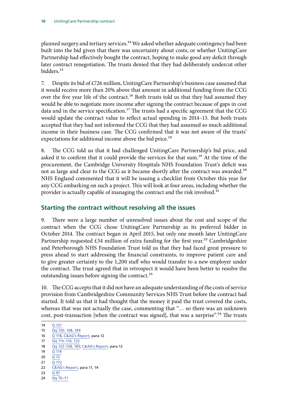<span id="page-11-0"></span>planned surgery and tertiary services.<sup>14</sup> We asked whether adequate contingency had been built into the bid given that there was uncertainty about costs, or whether UnitingCare Partnership had effectively bought the contract, hoping to make good any deficit through later contract renegotiation. The trusts denied that they had deliberately undercut other bidders.<sup>15</sup>

7. Despite its bid of £726 million, UnitingCare Partnership's business case assumed that it would receive more than 20% above that amount in additional funding from the CCG over the five year life of the contract.<sup>16</sup> Both trusts told us that they had assumed they would be able to negotiate more income after signing the contract because of gaps in cost data and in the service specification.<sup>17</sup> The trusts had a specific agreement that the CCG would update the contract value to reflect actual spending in 2014–15. But both trusts accepted that they had not informed the CCG that they had assumed so much additional income in their business case. The CCG confirmed that it was not aware of the trusts' expectations for additional income above the bid price.<sup>18</sup>

8. The CCG told us that it had challenged UnitingCare Partnership's bid price, and asked it to confirm that it could provide the services for that sum.<sup>19</sup> At the time of the procurement, the Cambridge University Hospitals NHS Foundation Trust's deficit was not as large and clear to the CCG as it became shortly after the contract was awarded.<sup>20</sup> NHS England commented that it will be issuing a checklist from October this year for any CCG embarking on such a project. This will look at four areas, including whether the provider is actually capable of managing the contract and the risk involved.<sup>21</sup>

### **Starting the contract without resolving all the issues**

9. There were a large number of unresolved issues about the cost and scope of the contract when the CCG chose UnitingCare Partnership as its preferred bidder in October 2014. The contract began in April 2015, but only one month later UnitingCare Partnership requested £34 million of extra funding for the first year.<sup>22</sup> Cambridgeshire and Peterborough NHS Foundation Trust told us that they had faced great pressure to press ahead to start addressing the financial constraints, to improve patient care and to give greater certainty to the 1,200 staff who would transfer to a new employer under the contract. The trust agreed that in retrospect it would have been better to resolve the outstanding issues before signing the contract.<sup>23</sup>

10. The CCG accepts that it did not have an adequate understanding of the costs of service provision from Cambridgeshire Community Services NHS Trust before the contract had started. It told us that it had thought that the money it paid the trust covered the costs, whereas that was not actually the case, commenting that "… so there was an unknown cost, post-transaction [when the contract was signed], that was a surprise".<sup>24</sup> The trusts

17 Qq [115–116, 122](http://data.parliament.uk/writtenevidence/committeeevidence.svc/evidencedocument/public-accounts-committee/unitingcare-partnership-contract/oral/38268.pdf)

- 19 Q [114](http://data.parliament.uk/writtenevidence/committeeevidence.svc/evidencedocument/public-accounts-committee/unitingcare-partnership-contract/oral/38268.pdf)
- 20  $\overline{Q}$  [72](http://data.parliament.uk/writtenevidence/committeeevidence.svc/evidencedocument/public-accounts-committee/unitingcare-partnership-contract/oral/38268.pdf) 21  $\overline{0.172}$  $\overline{0.172}$  $\overline{0.172}$
- 

- 23 O [97](http://data.parliament.uk/writtenevidence/committeeevidence.svc/evidencedocument/public-accounts-committee/unitingcare-partnership-contract/oral/38268.pdf)
- 24 Qq [70–71](http://data.parliament.uk/writtenevidence/committeeevidence.svc/evidencedocument/public-accounts-committee/unitingcare-partnership-contract/oral/38268.pdf)

<sup>14</sup> Q [121](http://data.parliament.uk/writtenevidence/committeeevidence.svc/evidencedocument/public-accounts-committee/unitingcare-partnership-contract/oral/38268.pdf)

<sup>15</sup> Qq [120, 168, 169](http://data.parliament.uk/writtenevidence/committeeevidence.svc/evidencedocument/public-accounts-committee/unitingcare-partnership-contract/oral/38268.pdf)

<sup>16</sup> Q [118,](http://data.parliament.uk/writtenevidence/committeeevidence.svc/evidencedocument/public-accounts-committee/unitingcare-partnership-contract/oral/38268.pdf) [C&AG's Report](https://www.nao.org.uk/wp-content/uploads/2016/07/The-collapse-of-the-UnitingCare-Partnership-contract-in-Cambridgeshire-and-Peterborough.pdf), para 12

<sup>18</sup> Qq [122–128, 183;](http://data.parliament.uk/writtenevidence/committeeevidence.svc/evidencedocument/public-accounts-committee/unitingcare-partnership-contract/oral/38268.pdf) [C&AG's Report](https://www.nao.org.uk/wp-content/uploads/2016/07/The-collapse-of-the-UnitingCare-Partnership-contract-in-Cambridgeshire-and-Peterborough.pdf), para 12

<sup>22</sup> [C&AG's Report,](https://www.nao.org.uk/wp-content/uploads/2016/07/The-collapse-of-the-UnitingCare-Partnership-contract-in-Cambridgeshire-and-Peterborough.pdf) para 11, 14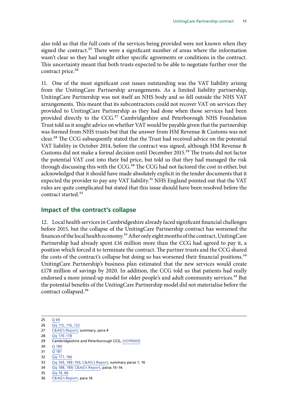<span id="page-12-0"></span>also told us that the full costs of the services being provided were not known when they signed the contract.<sup>25</sup> There were a significant number of areas where the information wasn't clear so they had sought either specific agreements or conditions in the contract. This uncertainty meant that both trusts expected to be able to negotiate further over the contract price.<sup>26</sup>

11. One of the most significant cost issues outstanding was the VAT liability arising from the UnitingCare Partnership arrangements. As a limited liability partnership, UnitingCare Partnership was not itself an NHS body and so fell outside the NHS VAT arrangements. This meant that its subcontractors could not recover VAT on services they provided to UnitingCare Partnership as they had done when those services had been provided directly to the CCG.<sup>27</sup> Cambridgeshire and Peterborough NHS Foundation Trust told us it sought advice on whether VAT would be payable given that the partnership was formed from NHS trusts but that the answer from HM Revenue & Customs was not clear.<sup>28</sup> The CCG subsequently stated that the Trust had received advice on the potential VAT liability in October 2014, before the contract was signed, although HM Revenue & Customs did not make a formal decision until December 2015.29 The trusts did not factor the potential VAT cost into their bid price, but told us that they had managed the risk through discussing this with the CCG.<sup>30</sup> The CCG had not factored the cost in either, but acknowledged that it should have made absolutely explicit in the tender documents that it expected the provider to pay any VAT liability.<sup>31</sup> NHS England pointed out that the VAT rules are quite complicated but stated that this issue should have been resolved before the contract started.32

#### **Impact of the contract's collapse**

12. Local health services in Cambridgeshire already faced significant financial challenges before 2015, but the collapse of the UnitingCare Partnership contract has worsened the finances of the local health economy.<sup>33</sup> After only eight months of the contract, UnitingCare Partnership had already spent £16 million more than the CCG had agreed to pay it, a position which forced it to terminate the contract. The partner trusts and the CCG shared the costs of the contract's collapse but doing so has worsened their financial positions.<sup>34</sup> UnitingCare Partnership's business plan estimated that the new services would create £178 million of savings by 2020. In addition, the CCG told us that patients had really endorsed a more joined-up model for older people's and adult community services.<sup>35</sup> But the potential benefits of the UnitingCare Partnership model did not materialise before the contract collapsed.36

<sup>25</sup> Q [69](http://data.parliament.uk/writtenevidence/committeeevidence.svc/evidencedocument/public-accounts-committee/unitingcare-partnership-contract/oral/38268.pdf)

<sup>26</sup> Qq [115, 116, 122](http://data.parliament.uk/writtenevidence/committeeevidence.svc/evidencedocument/public-accounts-committee/unitingcare-partnership-contract/oral/38268.pdf)

<sup>27</sup> [C&AG's Report,](https://www.nao.org.uk/wp-content/uploads/2016/07/The-collapse-of-the-UnitingCare-Partnership-contract-in-Cambridgeshire-and-Peterborough.pdf) summary, para 4

<sup>28</sup> Qq [174–178](http://data.parliament.uk/writtenevidence/committeeevidence.svc/evidencedocument/public-accounts-committee/unitingcare-partnership-contract/oral/38268.pdf)

<sup>29</sup> Cambridgeshire and Peterborough CCG, [\(UCP0003\)](http://data.parliament.uk/writtenevidence/committeeevidence.svc/evidencedocument/public-accounts-committee/unitingcare-partnership-contract/written/40489.pdf)

<sup>30</sup> Q [180](http://data.parliament.uk/writtenevidence/committeeevidence.svc/evidencedocument/public-accounts-committee/unitingcare-partnership-contract/oral/38268.pdf)

<sup>31</sup>  $\overline{Q}$  [181](http://data.parliament.uk/writtenevidence/committeeevidence.svc/evidencedocument/public-accounts-committee/unitingcare-partnership-contract/oral/38268.pdf)

<sup>32</sup> Qq [177, 186](http://data.parliament.uk/writtenevidence/committeeevidence.svc/evidencedocument/public-accounts-committee/unitingcare-partnership-contract/oral/38268.pdf)

<sup>33</sup> Qq [169, 188–193](http://data.parliament.uk/writtenevidence/committeeevidence.svc/evidencedocument/public-accounts-committee/unitingcare-partnership-contract/oral/38268.pdf), [C&AG's Report,](https://www.nao.org.uk/wp-content/uploads/2016/07/The-collapse-of-the-UnitingCare-Partnership-contract-in-Cambridgeshire-and-Peterborough.pdf) summary paras 1, 16

<sup>34</sup> Qq [188, 189](http://data.parliament.uk/writtenevidence/committeeevidence.svc/evidencedocument/public-accounts-committee/unitingcare-partnership-contract/oral/38268.pdf); [C&AG's Report,](https://www.nao.org.uk/wp-content/uploads/2016/07/The-collapse-of-the-UnitingCare-Partnership-contract-in-Cambridgeshire-and-Peterborough.pdf) paras 15–16

<sup>35</sup> Qq [74, 86](http://data.parliament.uk/writtenevidence/committeeevidence.svc/evidencedocument/public-accounts-committee/unitingcare-partnership-contract/oral/38268.pdf)

<sup>36</sup> [C&AG's Report,](https://www.nao.org.uk/wp-content/uploads/2016/07/The-collapse-of-the-UnitingCare-Partnership-contract-in-Cambridgeshire-and-Peterborough.pdf) para 16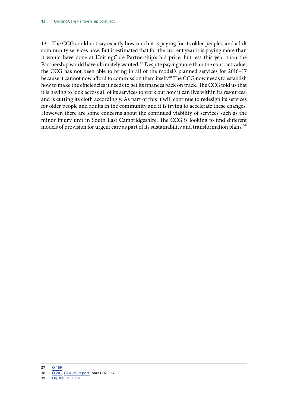13. The CCG could not say exactly how much it is paying for its older people's and adult community services now. But it estimated that for the current year it is paying more than it would have done at UnitingCare Partnership's bid price, but less this year than the Partnership would have ultimately wanted.<sup>37</sup> Despite paying more than the contract value, the CCG has not been able to bring in all of the model's planned services for 2016–17 because it cannot now afford to commission them itself.<sup>38</sup> The CCG now needs to establish how to make the efficiencies it needs to get its finances back on track. The CCG told us that it is having to look across all of its services to work out how it can live within its resources, and is cutting its cloth accordingly. As part of this it will continue to redesign its services for older people and adults in the community and it is trying to accelerate these changes. However, there are some concerns about the continued viability of services such as the minor injury unit in South East Cambridgeshire. The CCG is looking to find different models of provision for urgent care as part of its sustainability and transformation plans.<sup>39</sup>

<sup>37</sup> Q [169](http://data.parliament.uk/writtenevidence/committeeevidence.svc/evidencedocument/public-accounts-committee/unitingcare-partnership-contract/oral/38268.pdf)

<sup>38</sup> Q [201](http://data.parliament.uk/writtenevidence/committeeevidence.svc/evidencedocument/public-accounts-committee/unitingcare-partnership-contract/oral/38268.pdf), [C&AG's Report](https://www.nao.org.uk/wp-content/uploads/2016/07/The-collapse-of-the-UnitingCare-Partnership-contract-in-Cambridgeshire-and-Peterborough.pdf), paras 16, 1.17

<sup>39</sup> Qq [188, 190, 191](http://data.parliament.uk/writtenevidence/committeeevidence.svc/evidencedocument/public-accounts-committee/unitingcare-partnership-contract/oral/38268.pdf)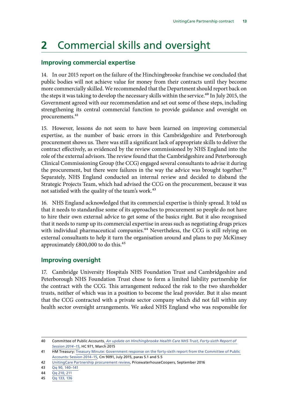# <span id="page-14-0"></span>**2** Commercial skills and oversight

### **Improving commercial expertise**

14. In our 2015 report on the failure of the Hinchingbrooke franchise we concluded that public bodies will not achieve value for money from their contracts until they become more commercially skilled. We recommended that the Department should report back on the steps it was taking to develop the necessary skills within the service.<sup>40</sup> In July 2015, the Government agreed with our recommendation and set out some of these steps, including strengthening its central commercial function to provide guidance and oversight on procurements.<sup>41</sup>

15. However, lessons do not seem to have been learned on improving commercial expertise, as the number of basic errors in this Cambridgeshire and Peterborough procurement shows us. There was still a significant lack of appropriate skills to deliver the contract effectively, as evidenced by the review commissioned by NHS England into the role of the external advisors. The review found that the Cambridgeshire and Peterborough Clinical Commissioning Group (the CCG) engaged several consultants to advise it during the procurement, but there were failures in the way the advice was brought together.<sup>42</sup> Separately, NHS England conducted an internal review and decided to disband the Strategic Projects Team, which had advised the CCG on the procurement, because it was not satisfied with the quality of the team's work.<sup>43</sup>

16. NHS England acknowledged that its commercial expertise is thinly spread. It told us that it needs to standardise some of its approaches to procurement so people do not have to hire their own external advice to get some of the basics right. But it also recognised that it needs to ramp up its commercial expertise in areas such as negotiating drugs prices with individual pharmaceutical companies.<sup>44</sup> Nevertheless, the CCG is still relying on external consultants to help it turn the organisation around and plans to pay McKinsey approximately  $£800,000$  to do this.<sup>45</sup>

### **Improving oversight**

17. Cambridge University Hospitals NHS Foundation Trust and Cambridgeshire and Peterborough NHS Foundation Trust chose to form a limited liability partnership for the contract with the CCG. This arrangement reduced the risk to the two shareholder trusts, neither of which was in a position to become the lead provider. But it also meant that the CCG contracted with a private sector company which did not fall within any health sector oversight arrangements. We asked NHS England who was responsible for

<sup>40</sup> Committee of Public Accounts, *[An update on Hinchingbrooke Health Care NHS Trust](http://www.publications.parliament.uk/pa/cm201415/cmselect/cmpubacc/971/971.pdf), Forty-sixth Report of Session 2014–15*, HC 971, March 2015

<sup>41</sup> HM Treasury: Treasury Minute: Government response on the forty-sixth report from the Committee of Public [Accounts: Session 2014–15](https://www.gov.uk/government/uploads/system/uploads/attachment_data/file/443827/50455_Cm_9091_accessible_v0.1.pdf), Cm 9091, July 2015, paras 5.1 and 5.5

<sup>42</sup> [UnitingCare Partnership procurement review,](https://www.england.nhs.uk/mids-east/wp-content/uploads/sites/7/2016/09/ucp-proc-review-report.pdf) PricewaterhouseCoopers, September 2016

<sup>43</sup> Qq [90, 140–141](http://data.parliament.uk/writtenevidence/committeeevidence.svc/evidencedocument/public-accounts-committee/unitingcare-partnership-contract/oral/38268.pdf)

<sup>44</sup> Qq [210, 211](http://data.parliament.uk/writtenevidence/committeeevidence.svc/evidencedocument/public-accounts-committee/unitingcare-partnership-contract/oral/38268.pdf)

<sup>45</sup> Qq [133, 136](http://data.parliament.uk/writtenevidence/committeeevidence.svc/evidencedocument/public-accounts-committee/unitingcare-partnership-contract/oral/38268.pdf)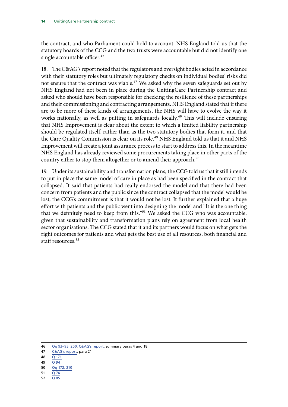the contract, and who Parliament could hold to account. NHS England told us that the statutory boards of the CCG and the two trusts were accountable but did not identify one single accountable officer.<sup>46</sup>

18. The C&AG's report noted that the regulators and oversight bodies acted in accordance with their statutory roles but ultimately regulatory checks on individual bodies' risks did not ensure that the contract was viable.<sup>47</sup> We asked why the seven safeguards set out by NHS England had not been in place during the UnitingCare Partnership contract and asked who should have been responsible for checking the resilience of these partnerships and their commissioning and contracting arrangements. NHS England stated that if there are to be more of these kinds of arrangements, the NHS will have to evolve the way it works nationally, as well as putting in safeguards locally.<sup>48</sup> This will include ensuring that NHS Improvement is clear about the extent to which a limited liability partnership should be regulated itself, rather than as the two statutory bodies that form it, and that the Care Quality Commission is clear on its role.<sup>49</sup> NHS England told us that it and NHS Improvement will create a joint assurance process to start to address this. In the meantime NHS England has already reviewed some procurements taking place in other parts of the country either to stop them altogether or to amend their approach.<sup>50</sup>

19. Under its sustainability and transformation plans, the CCG told us that it still intends to put in place the same model of care in place as had been specified in the contract that collapsed. It said that patients had really endorsed the model and that there had been concern from patients and the public since the contract collapsed that the model would be lost; the CCG's commitment is that it would not be lost. It further explained that a huge effort with patients and the public went into designing the model and "It is the one thing that we definitely need to keep from this."<sup>51</sup> We asked the CCG who was accountable, given that sustainability and transformation plans rely on agreement from local health sector organisations. The CCG stated that it and its partners would focus on what gets the right outcomes for patients and what gets the best use of all resources, both financial and staff resources.<sup>52</sup>

- 47 [C&AG's report](https://www.nao.org.uk/wp-content/uploads/2016/07/The-collapse-of-the-UnitingCare-Partnership-contract-in-Cambridgeshire-and-Peterborough.pdf), para 21
- 48 Q [171](http://data.parliament.uk/writtenevidence/committeeevidence.svc/evidencedocument/public-accounts-committee/unitingcare-partnership-contract/oral/38268.pdf)
- 49  $\overline{0.94}$  $\overline{0.94}$  $\overline{0.94}$
- 50 Qq [172, 210](http://data.parliament.uk/writtenevidence/committeeevidence.svc/evidencedocument/public-accounts-committee/unitingcare-partnership-contract/oral/38268.pdf)
- 51 Q [74](http://data.parliament.uk/writtenevidence/committeeevidence.svc/evidencedocument/public-accounts-committee/unitingcare-partnership-contract/oral/38268.pdf)
- 52 Q [85](http://data.parliament.uk/writtenevidence/committeeevidence.svc/evidencedocument/public-accounts-committee/unitingcare-partnership-contract/oral/38268.pdf)

<sup>46</sup> Qq [93–95, 200;](http://data.parliament.uk/writtenevidence/committeeevidence.svc/evidencedocument/public-accounts-committee/unitingcare-partnership-contract/oral/38268.pdf) [C&AG's report,](https://www.nao.org.uk/wp-content/uploads/2016/07/The-collapse-of-the-UnitingCare-Partnership-contract-in-Cambridgeshire-and-Peterborough.pdf) summary paras 4 and 18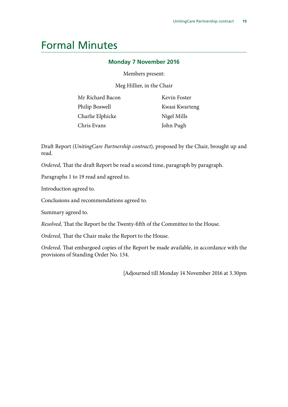# <span id="page-16-0"></span>Formal Minutes

#### **Monday 7 November 2016**

Members present:

Meg Hillier, in the Chair

| Mr Richard Bacon |
|------------------|
| Philip Boswell   |
| Charlie Elphicke |
| Chris Evans      |

Kevin Foster Kwasi Kwarteng Nigel Mills John Pugh

Draft Report (*UnitingCare Partnership contract*), proposed by the Chair, brought up and read.

*Ordered,* That the draft Report be read a second time, paragraph by paragraph.

Paragraphs 1 to 19 read and agreed to.

Introduction agreed to.

Conclusions and recommendations agreed to.

Summary agreed to.

*Resolved,* That the Report be the Twenty-fifth of the Committee to the House.

*Ordered,* That the Chair make the Report to the House.

*Ordered,* That embargoed copies of the Report be made available, in accordance with the provisions of Standing Order No. 134.

[Adjourned till Monday 14 November 2016 at 3.30pm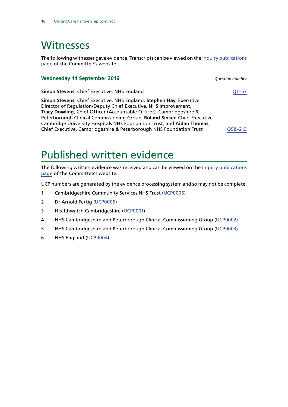## <span id="page-17-0"></span>**Witnesses**

The following witnesses gave evidence. Transcripts can be viewed on the [inquiry publications](https://www.parliament.uk/business/committees/committees-a-z/commons-select/public-accounts-committee/inquiries/parliament-2015/unitingcare-partnership-contract-16-17/publications/) [page](https://www.parliament.uk/business/committees/committees-a-z/commons-select/public-accounts-committee/inquiries/parliament-2015/unitingcare-partnership-contract-16-17/publications/) of the Committee's website.

#### **Wednesday 14 September 2016** *Question number*

**Simon Stevens**, Chief Executive, NHS England [Q1–57](http://data.parliament.uk/writtenevidence/committeeevidence.svc/evidencedocument/public-accounts-committee/unitingcare-partnership-contract/oral/38268.html)

**Simon Stevens**, Chief Executive, NHS England, **Stephen Hay**, Executive Director of Regulation/Deputy Chief Executive, NHS Improvement, **Tracy Dowling**, Chief Officer (Accountable Officer), Cambridgeshire & Peterborough Clinical Commissioning Group, **Roland Sinker**, Chief Executive, Cambridge University Hospitals NHS Foundation Trust, and **Aidan Thomas**, Chief Executive, Cambridgeshire & Peterborough NHS Foundation Trust [Q58–213](http://data.parliament.uk/writtenevidence/committeeevidence.svc/evidencedocument/public-accounts-committee/unitingcare-partnership-contract/oral/38268.html)

Published written evidence

The following written evidence was received and can be viewed on the [inquiry publications](https://www.parliament.uk/business/committees/committees-a-z/commons-select/public-accounts-committee/inquiries/parliament-2015/unitingcare-partnership-contract-16-17/publications/) [page](https://www.parliament.uk/business/committees/committees-a-z/commons-select/public-accounts-committee/inquiries/parliament-2015/unitingcare-partnership-contract-16-17/publications/) of the Committee's website.

UCP numbers are generated by the evidence processing system and so may not be complete.

- 1 Cambridgeshire Community Services NHS Trust [\(UCP0006\)](http://data.parliament.uk/WrittenEvidence/CommitteeEvidence.svc/EvidenceDocument/Public%20Accounts/UnitingCare%20Partnership%20contract/written/41837.html)
- 2 Dr Arnold Fertig [\(UCP0005](http://data.parliament.uk/WrittenEvidence/CommitteeEvidence.svc/EvidenceDocument/Public%20Accounts/UnitingCare%20Partnership%20contract/written/40672.html))
- 3 Healthwatch Cambridgeshire ([UCP0001\)](http://data.parliament.uk/WrittenEvidence/CommitteeEvidence.svc/EvidenceDocument/Public%20Accounts/UnitingCare%20Partnership%20contract/written/37216.html)
- 4 NHS Cambridgeshire and Peterborough Clinical Commissioning Group ([UCP0002\)](http://data.parliament.uk/WrittenEvidence/CommitteeEvidence.svc/EvidenceDocument/Public%20Accounts/UnitingCare%20Partnership%20contract/written/39110.html)
- 5 NHS Cambridgeshire and Peterborough Clinical Commissioning Group ([UCP0003\)](http://data.parliament.uk/WrittenEvidence/CommitteeEvidence.svc/EvidenceDocument/Public%20Accounts/UnitingCare%20Partnership%20contract/written/40489.html)
- 6 NHS England [\(UCP0004](http://data.parliament.uk/WrittenEvidence/CommitteeEvidence.svc/EvidenceDocument/Public%20Accounts/UnitingCare%20Partnership%20contract/written/40671.html))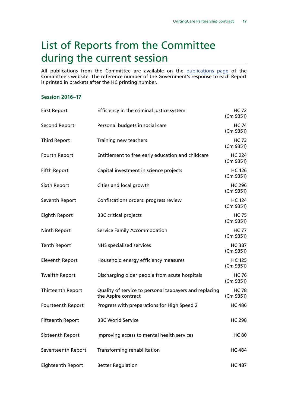# <span id="page-18-0"></span>List of Reports from the Committee during the current session

All publications from the Committee are available on the [publications page](https://www.parliament.uk/business/committees/committees-a-z/commons-select/public-accounts-committee/publications/) of the Committee's website. The reference number of the Government's response to each Report is printed in brackets after the HC printing number.

#### **Session 2016–17**

| <b>First Report</b>     | Efficiency in the criminal justice system                                     | <b>HC 72</b><br>(Cm 9351)  |
|-------------------------|-------------------------------------------------------------------------------|----------------------------|
| Second Report           | Personal budgets in social care                                               | <b>HC 74</b><br>(Cm 9351)  |
| <b>Third Report</b>     | Training new teachers                                                         | <b>HC 73</b><br>(Cm 9351)  |
| Fourth Report           | Entitlement to free early education and childcare                             | <b>HC 224</b><br>(Cm 9351) |
| <b>Fifth Report</b>     | Capital investment in science projects                                        | <b>HC 126</b><br>(Cm 9351) |
| Sixth Report            | Cities and local growth                                                       | <b>HC 296</b><br>(Cm 9351) |
| Seventh Report          | Confiscations orders: progress review                                         | <b>HC 124</b><br>(Cm 9351) |
| Eighth Report           | <b>BBC</b> critical projects                                                  | <b>HC 75</b><br>(Cm 9351)  |
| Ninth Report            | <b>Service Family Accommodation</b>                                           | <b>HC 77</b><br>(Cm 9351)  |
| <b>Tenth Report</b>     | <b>NHS</b> specialised services                                               | <b>HC 387</b><br>(Cm 9351) |
| <b>Eleventh Report</b>  | Household energy efficiency measures                                          | <b>HC 125</b><br>(Cm 9351) |
| <b>Twelfth Report</b>   | Discharging older people from acute hospitals                                 | <b>HC 76</b><br>(Cm 9351)  |
| Thirteenth Report       | Quality of service to personal taxpayers and replacing<br>the Aspire contract | <b>HC 78</b><br>(Cm 9351)  |
| Fourteenth Report       | Progress with preparations for High Speed 2                                   | <b>HC 486</b>              |
| <b>Fifteenth Report</b> | <b>BBC World Service</b>                                                      | <b>HC 298</b>              |
| Sixteenth Report        | Improving access to mental health services                                    | <b>HC 80</b>               |
| Seventeenth Report      | Transforming rehabilitation                                                   | <b>HC 484</b>              |
| Eighteenth Report       | <b>Better Regulation</b>                                                      | <b>HC 487</b>              |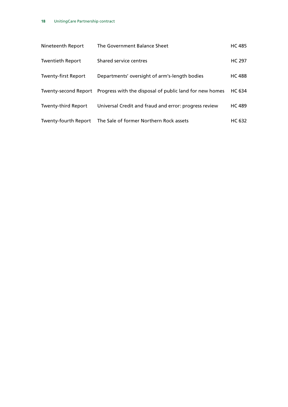| Nineteenth Report           | The Government Balance Sheet                            | <b>HC 485</b> |
|-----------------------------|---------------------------------------------------------|---------------|
| <b>Twentieth Report</b>     | Shared service centres                                  | <b>HC 297</b> |
| <b>Twenty-first Report</b>  | Departments' oversight of arm's-length bodies           | <b>HC 488</b> |
| Twenty-second Report        | Progress with the disposal of public land for new homes | HC 634        |
| <b>Twenty-third Report</b>  | Universal Credit and fraud and error: progress review   | <b>HC 489</b> |
| <b>Twenty-fourth Report</b> | The Sale of former Northern Rock assets                 | <b>HC 632</b> |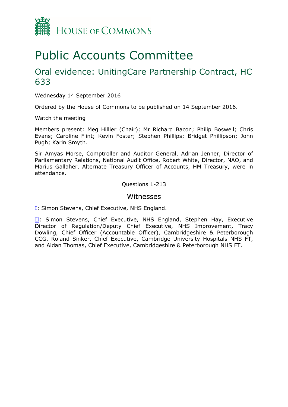

# Public Accounts Committee

## Oral evidence: UnitingCare Partnership Contract, HC 633

Wednesday 14 September 2016

Ordered by the House of Commons to be published on 14 September 2016.

Watch the meeting

Members present: Meg Hillier (Chair); Mr Richard Bacon; Philip Boswell; Chris Evans; Caroline Flint; Kevin Foster; Stephen Phillips; Bridget Phillipson; John Pugh; Karin Smyth.

Sir Amyas Morse, Comptroller and Auditor General, Adrian Jenner, Director of Parliamentary Relations, National Audit Office, Robert White, Director, NAO, and Marius Gallaher, Alternate Treasury Officer of Accounts, HM Treasury, were in attendance.

Questions 1-213

#### Witnesses

[I:](#page-21-0) Simon Stevens, Chief Executive, NHS England.

[II](#page-38-0): Simon Stevens, Chief Executive, NHS England, Stephen Hay, Executive Director of Regulation/Deputy Chief Executive, NHS Improvement, Tracy Dowling, Chief Officer (Accountable Officer), Cambridgeshire & Peterborough CCG, Roland Sinker, Chief Executive, Cambridge University Hospitals NHS FT, and Aidan Thomas, Chief Executive, Cambridgeshire & Peterborough NHS FT.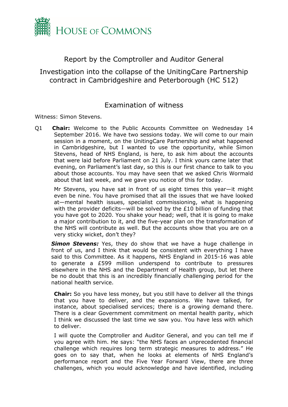

## <span id="page-21-0"></span>Report by the Comptroller and Auditor General

Investigation into the collapse of the UnitingCare Partnership contract in Cambridgeshire and Peterborough (HC 512)

### Examination of witness

Witness: Simon Stevens.

Q1 **Chair:** Welcome to the Public Accounts Committee on Wednesday 14 September 2016. We have two sessions today. We will come to our main session in a moment, on the UnitingCare Partnership and what happened in Cambridgeshire, but I wanted to use the opportunity, while Simon Stevens, head of NHS England, is here, to ask him about the accounts that were laid before Parliament on 21 July. I think yours came later that evening, on Parliament's last day, so this is our first chance to talk to you about those accounts. You may have seen that we asked Chris Wormald about that last week, and we gave you notice of this for today.

Mr Stevens, you have sat in front of us eight times this year—it might even be nine. You have promised that all the issues that we have looked at—mental health issues, specialist commissioning, what is happening with the provider deficits—will be solved by the £10 billion of funding that you have got to 2020. You shake your head; well, that it is going to make a major contribution to it, and the five-year plan on the transformation of the NHS will contribute as well. But the accounts show that you are on a very sticky wicket, don't they?

**Simon Stevens:** Yes, they do show that we have a huge challenge in front of us, and I think that would be consistent with everything I have said to this Committee. As it happens, NHS England in 2015-16 was able to generate a £599 million underspend to contribute to pressures elsewhere in the NHS and the Department of Health group, but let there be no doubt that this is an incredibly financially challenging period for the national health service.

**Chair:** So you have less money, but you still have to deliver all the things that you have to deliver, and the expansions. We have talked, for instance, about specialised services; there is a growing demand there. There is a clear Government commitment on mental health parity, which I think we discussed the last time we saw you. You have less with which to deliver.

I will quote the Comptroller and Auditor General, and you can tell me if you agree with him. He says: "the NHS faces an unprecedented financial challenge which requires long term strategic measures to address." He goes on to say that, when he looks at elements of NHS England's performance report and the Five Year Forward View, there are three challenges, which you would acknowledge and have identified, including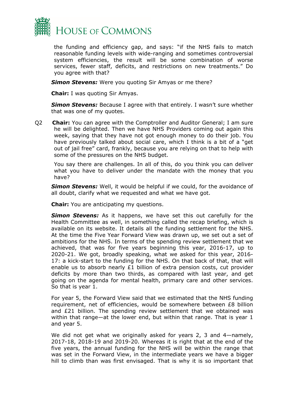

the funding and efficiency gap, and says: "if the NHS fails to match reasonable funding levels with wide-ranging and sometimes controversial system efficiencies, the result will be some combination of worse services, fewer staff, deficits, and restrictions on new treatments." Do you agree with that?

*Simon Stevens:* Were you quoting Sir Amyas or me there?

**Chair:** I was quoting Sir Amyas.

*Simon Stevens:* Because I agree with that entirely. I wasn't sure whether that was one of my quotes.

Q2 **Chair:** You can agree with the Comptroller and Auditor General; I am sure he will be delighted. Then we have NHS Providers coming out again this week, saying that they have not got enough money to do their job. You have previously talked about social care, which I think is a bit of a "get out of jail free" card, frankly, because you are relying on that to help with some of the pressures on the NHS budget.

You say there are challenges. In all of this, do you think you can deliver what you have to deliver under the mandate with the money that you have?

*Simon Stevens:* Well, it would be helpful if we could, for the avoidance of all doubt, clarify what we requested and what we have got.

**Chair:** You are anticipating my questions.

*Simon Stevens:* As it happens, we have set this out carefully for the Health Committee as well, in something called the recap briefing, which is available on its website. It details all the funding settlement for the NHS. At the time the Five Year Forward View was drawn up, we set out a set of ambitions for the NHS. In terms of the spending review settlement that we achieved, that was for five years beginning this year, 2016-17, up to 2020-21. We got, broadly speaking, what we asked for this year, 2016- 17: a kick-start to the funding for the NHS. On that back of that, that will enable us to absorb nearly  $£1$  billion of extra pension costs, cut provider deficits by more than two thirds, as compared with last year, and get going on the agenda for mental health, primary care and other services. So that is year 1.

For year 5, the Forward View said that we estimated that the NHS funding requirement, net of efficiencies, would be somewhere between £8 billion and £21 billion. The spending review settlement that we obtained was within that range—at the lower end, but within that range. That is year 1 and year 5.

We did not get what we originally asked for years 2, 3 and 4—namely, 2017-18, 2018-19 and 2019-20. Whereas it is right that at the end of the five years, the annual funding for the NHS will be within the range that was set in the Forward View, in the intermediate years we have a bigger hill to climb than was first envisaged. That is why it is so important that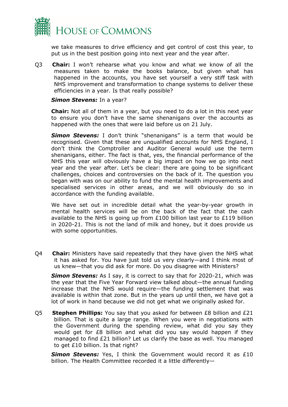

we take measures to drive efficiency and get control of cost this year, to put us in the best position going into next year and the year after.

Q3 **Chair:** I won't rehearse what you know and what we know of all the measures taken to make the books balance, but given what has happened in the accounts, you have set yourself a very stiff task with NHS improvement and transformation to change systems to deliver these efficiencies in a year. Is that really possible?

#### *Simon Stevens:* In a year?

**Chair:** Not all of them in a year, but you need to do a lot in this next year to ensure you don't have the same shenanigans over the accounts as happened with the ones that were laid before us on 21 July.

**Simon Stevens:** I don't think "shenanigans" is a term that would be recognised. Given that these are unqualified accounts for NHS England, I don't think the Comptroller and Auditor General would use the term shenanigans, either. The fact is that, yes, the financial performance of the NHS this year will obviously have a big impact on how we go into next year and the year after. Let's be clear: there are going to be significant challenges, choices and controversies on the back of it. The question you began with was on our ability to fund the mental health improvements and specialised services in other areas, and we will obviously do so in accordance with the funding available.

We have set out in incredible detail what the year-by-year growth in mental health services will be on the back of the fact that the cash available to the NHS is going up from  $£100$  billion last year to  $£119$  billion in 2020-21. This is not the land of milk and honey, but it does provide us with some opportunities.

Q4 **Chair:** Ministers have said repeatedly that they have given the NHS what it has asked for. You have just told us very clearly—and I think most of us knew—that you did ask for more. Do you disagree with Ministers?

*Simon Stevens:* As I say, it is correct to say that for 2020-21, which was the year that the Five Year Forward view talked about—the annual funding increase that the NHS would require—the funding settlement that was available is within that zone. But in the years up until then, we have got a lot of work in hand because we did not get what we originally asked for.

Q5 **Stephen Phillips:** You say that you asked for between £8 billion and £21 billion. That is quite a large range. When you were in negotiations with the Government during the spending review, what did you say they would get for £8 billion and what did you say would happen if they managed to find £21 billion? Let us clarify the base as well. You managed to get £10 billion. Is that right?

*Simon Stevens:* Yes, I think the Government would record it as £10 billion. The Health Committee recorded it a little differently—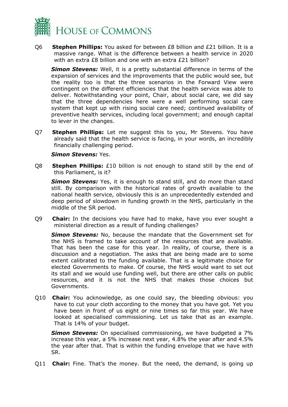

Q6 **Stephen Phillips:** You asked for between £8 billion and £21 billion. It is a massive range. What is the difference between a health service in 2020 with an extra £8 billion and one with an extra £21 billion?

*Simon Stevens:* Well, it is a pretty substantial difference in terms of the expansion of services and the improvements that the public would see, but the reality too is that the three scenarios in the Forward View were contingent on the different efficiencies that the health service was able to deliver. Notwithstanding your point, Chair, about social care, we did say that the three dependencies here were a well performing social care system that kept up with rising social care need; continued availability of preventive health services, including local government; and enough capital to lever in the changes.

Q7 **Stephen Phillips:** Let me suggest this to you, Mr Stevens. You have already said that the health service is facing, in your words, an incredibly financially challenging period.

#### *Simon Stevens:* Yes.

Q8 **Stephen Phillips:** £10 billion is not enough to stand still by the end of this Parliament, is it?

**Simon Stevens:** Yes, it is enough to stand still, and do more than stand still. By comparison with the historical rates of growth available to the national health service, obviously this is an unprecedentedly extended and deep period of slowdown in funding growth in the NHS, particularly in the middle of the SR period.

Q9 **Chair:** In the decisions you have had to make, have you ever sought a ministerial direction as a result of funding challenges?

*Simon Stevens:* No, because the mandate that the Government set for the NHS is framed to take account of the resources that are available. That has been the case for this year. In reality, of course, there is a discussion and a negotiation. The asks that are being made are to some extent calibrated to the funding available. That is a legitimate choice for elected Governments to make. Of course, the NHS would want to set out its stall and we would use funding well, but there are other calls on public resources, and it is not the NHS that makes those choices but Governments.

Q10 **Chair:** You acknowledge, as one could say, the bleeding obvious: you have to cut your cloth according to the money that you have got. Yet you have been in front of us eight or nine times so far this year. We have looked at specialised commissioning. Let us take that as an example. That is 14% of your budget.

*Simon Stevens:* On specialised commissioning, we have budgeted a 7% increase this year, a 5% increase next year, 4.8% the year after and 4.5% the year after that. That is within the funding envelope that we have with SR.

Q11 **Chair:** Fine. That's the money. But the need, the demand, is going up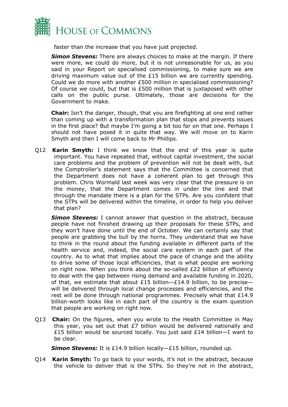

faster than the increase that you have just projected.

*Simon Stevens:* There are always choices to make at the margin. If there were more, we could do more, but it is not unreasonable for us, as you said in your Report on specialised commissioning, to make sure we are driving maximum value out of the £15 billion we are currently spending. Could we do more with another £500 million in specialised commissioning? Of course we could, but that is £500 million that is juxtaposed with other calls on the public purse. Ultimately, those are decisions for the Government to make.

**Chair:** Isn't the danger, though, that you are firefighting at one end rather than coming up with a transformation plan that stops and prevents issues in the first place? But maybe I'm going a bit too far on that one. Perhaps I should not have posed it in quite that way. We will move on to Karin Smyth and then I will come back to Mr Phillips.

Q12 **Karin Smyth:** I think we know that the end of this year is quite important. You have repeated that, without capital investment, the social care problems and the problem of prevention will not be dealt with, but the Comptroller's statement says that the Committee is concerned that the Department does not have a coherent plan to get through this problem. Chris Wormald last week was very clear that the pressure is on the money, that the Department comes in under the line and that through the mandate there is a plan for the STPs. Are you confident that the STPs will be delivered within the timeline, in order to help you deliver that plan?

*Simon Stevens:* I cannot answer that question in the abstract, because people have not finished drawing up their proposals for these STPs, and they won't have done until the end of October. We can certainly say that people are grabbing the bull by the horns. They understand that we have to think in the round about the funding available in different parts of the health service and, indeed, the social care system in each part of the country. As to what that implies about the pace of change and the ability to drive some of those local efficiencies, that is what people are working on right now. When you think about the so-called £22 billion of efficiency to deal with the gap between rising demand and available funding in 2020, of that, we estimate that about £15 billion- $£14.9$  billion, to be precisewill be delivered through local change processes and efficiencies, and the rest will be done through national programmes. Precisely what that  $£14.9$ billion-worth looks like in each part of the country is the exam question that people are working on right now.

Q13 **Chair:** On the figures, when you wrote to the Health Committee in May this year, you set out that £7 billion would be delivered nationally and £15 billion would be sourced locally. You just said £14 billion—I want to be clear.

*Simon Stevens:* It is £14.9 billion locally—£15 billion, rounded up.

Q14 **Karin Smyth:** To go back to your words, it's not in the abstract, because the vehicle to deliver that is the STPs. So they're not in the abstract,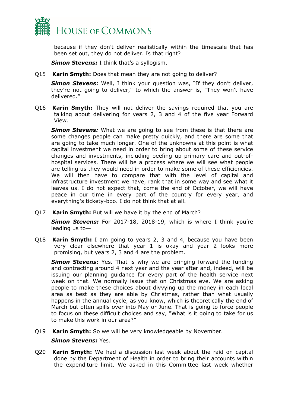

because if they don't deliver realistically within the timescale that has been set out, they do not deliver. Is that right?

*Simon Stevens:* I think that's a syllogism.

Q15 **Karin Smyth:** Does that mean they are not going to deliver?

**Simon Stevens:** Well, I think your question was, "If they don't deliver, they're not going to deliver," to which the answer is, "They won't have delivered."

Q16 **Karin Smyth:** They will not deliver the savings required that you are talking about delivering for years 2, 3 and 4 of the five year Forward View.

*Simon Stevens:* What we are going to see from these is that there are some changes people can make pretty quickly, and there are some that are going to take much longer. One of the unknowns at this point is what capital investment we need in order to bring about some of these service changes and investments, including beefing up primary care and out-ofhospital services. There will be a process where we will see what people are telling us they would need in order to make some of these efficiencies. We will then have to compare that with the level of capital and infrastructure investment we have, rank that in some way and see what it leaves us. I do not expect that, come the end of October, we will have peace in our time in every part of the country for every year, and everything's tickety-boo. I do not think that at all.

Q17 **Karin Smyth:** But will we have it by the end of March?

*Simon Stevens:* For 2017-18, 2018-19, which is where I think you're leading us to—

Q18 **Karin Smyth:** I am going to years 2, 3 and 4, because you have been very clear elsewhere that year 1 is okay and year 2 looks more promising, but years 2, 3 and 4 are the problem.

*Simon Stevens:* Yes. That is why we are bringing forward the funding and contracting around 4 next year and the year after and, indeed, will be issuing our planning guidance for every part of the health service next week on that. We normally issue that on Christmas eve. We are asking people to make these choices about divvying up the money in each local area as best as they are able by Christmas, rather than what usually happens in the annual cycle, as you know, which is theoretically the end of March but often spills over into May or June. That is going to force people to focus on these difficult choices and say, "What is it going to take for us to make this work in our area?"

Q19 **Karin Smyth:** So we will be very knowledgeable by November.

*Simon Stevens:* Yes.

Q20 **Karin Smyth:** We had a discussion last week about the raid on capital done by the Department of Health in order to bring their accounts within the expenditure limit. We asked in this Committee last week whether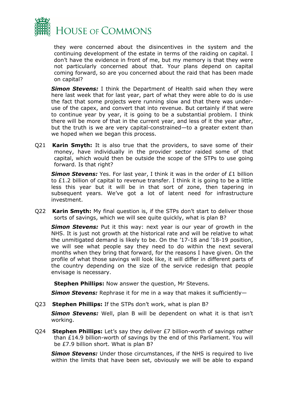

they were concerned about the disincentives in the system and the continuing development of the estate in terms of the raiding on capital. I don't have the evidence in front of me, but my memory is that they were not particularly concerned about that. Your plans depend on capital coming forward, so are you concerned about the raid that has been made on capital?

**Simon Stevens:** I think the Department of Health said when they were here last week that for last year, part of what they were able to do is use the fact that some projects were running slow and that there was underuse of the capex, and convert that into revenue. But certainly if that were to continue year by year, it is going to be a substantial problem. I think there will be more of that in the current year, and less of it the year after, but the truth is we are very capital-constrained—to a greater extent than we hoped when we began this process.

Q21 **Karin Smyth:** It is also true that the providers, to save some of their money, have individually in the provider sector raided some of that capital, which would then be outside the scope of the STPs to use going forward. Is that right?

**Simon Stevens:** Yes. For last year, I think it was in the order of £1 billion to  $£1.2$  billion of capital to revenue transfer. I think it is going to be a little less this year but it will be in that sort of zone, then tapering in subsequent years. We've got a lot of latent need for infrastructure investment.

Q22 **Karin Smyth:** My final question is, if the STPs don't start to deliver those sorts of savings, which we will see quite quickly, what is plan B?

*Simon Stevens:* Put it this way: next year is our year of growth in the NHS. It is just not growth at the historical rate and will be relative to what the unmitigated demand is likely to be. On the '17-18 and '18-19 position, we will see what people say they need to do within the next several months when they bring that forward, for the reasons I have given. On the profile of what those savings will look like, it will differ in different parts of the country depending on the size of the service redesign that people envisage is necessary.

**Stephen Phillips:** Now answer the question, Mr Stevens.

*Simon Stevens:* Rephrase it for me in a way that makes it sufficiently—

Q23 **Stephen Phillips:** If the STPs don't work, what is plan B?

*Simon Stevens:* Well, plan B will be dependent on what it is that isn't working.

Q24 **Stephen Phillips:** Let's say they deliver £7 billion-worth of savings rather than £14.9 billion-worth of savings by the end of this Parliament. You will be £7.9 billion short. What is plan B?

*Simon Stevens:* Under those circumstances, if the NHS is required to live within the limits that have been set, obviously we will be able to expand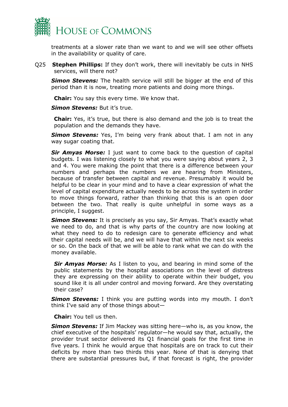

treatments at a slower rate than we want to and we will see other offsets in the availability or quality of care.

Q25 **Stephen Phillips:** If they don't work, there will inevitably be cuts in NHS services, will there not?

**Simon Stevens:** The health service will still be bigger at the end of this period than it is now, treating more patients and doing more things.

**Chair:** You say this every time. We know that.

*Simon Stevens:* But it's true.

**Chair:** Yes, it's true, but there is also demand and the job is to treat the population and the demands they have.

**Simon Stevens:** Yes, I'm being very frank about that. I am not in any way sugar coating that.

*Sir Amyas Morse:* I just want to come back to the question of capital budgets. I was listening closely to what you were saying about years 2, 3 and 4. You were making the point that there is a difference between your numbers and perhaps the numbers we are hearing from Ministers, because of transfer between capital and revenue. Presumably it would be helpful to be clear in your mind and to have a clear expression of what the level of capital expenditure actually needs to be across the system in order to move things forward, rather than thinking that this is an open door between the two. That really is quite unhelpful in some ways as a principle, I suggest.

**Simon Stevens:** It is precisely as you say, Sir Amyas. That's exactly what we need to do, and that is why parts of the country are now looking at what they need to do to redesign care to generate efficiency and what their capital needs will be, and we will have that within the next six weeks or so. On the back of that we will be able to rank what we can do with the money available.

*Sir Amyas Morse:* As I listen to you, and bearing in mind some of the public statements by the hospital associations on the level of distress they are expressing on their ability to operate within their budget, you sound like it is all under control and moving forward. Are they overstating their case?

**Simon Stevens:** I think you are putting words into my mouth. I don't think I've said any of those things about—

**Chair:** You tell us then.

*Simon Stevens:* If Jim Mackey was sitting here—who is, as you know, the chief executive of the hospitals' regulator—he would say that, actually, the provider trust sector delivered its Q1 financial goals for the first time in five years. I think he would argue that hospitals are on track to cut their deficits by more than two thirds this year. None of that is denying that there are substantial pressures but, if that forecast is right, the provider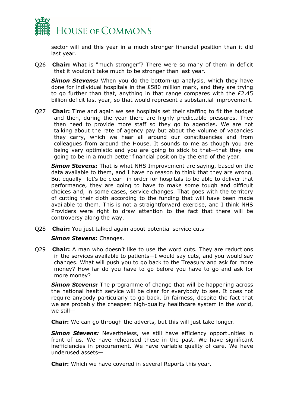

sector will end this year in a much stronger financial position than it did last year.

Q26 **Chair:** What is "much stronger"? There were so many of them in deficit that it wouldn't take much to be stronger than last year.

**Simon Stevens:** When you do the bottom-up analysis, which they have done for individual hospitals in the £580 million mark, and they are trying to go further than that, anything in that range compares with the £2.45 billion deficit last year, so that would represent a substantial improvement.

Q27 **Chair:** Time and again we see hospitals set their staffing to fit the budget and then, during the year there are highly predictable pressures. They then need to provide more staff so they go to agencies. We are not talking about the rate of agency pay but about the volume of vacancies they carry, which we hear all around our constituencies and from colleagues from around the House. It sounds to me as though you are being very optimistic and you are going to stick to that—that they are going to be in a much better financial position by the end of the year.

*Simon Stevens:* That is what NHS Improvement are saying, based on the data available to them, and I have no reason to think that they are wrong. But equally—let's be clear—in order for hospitals to be able to deliver that performance, they are going to have to make some tough and difficult choices and, in some cases, service changes. That goes with the territory of cutting their cloth according to the funding that will have been made available to them. This is not a straightforward exercise, and I think NHS Providers were right to draw attention to the fact that there will be controversy along the way.

Q28 **Chair:** You just talked again about potential service cuts—

#### *Simon Stevens:* Changes.

Q29 **Chair:** A man who doesn't like to use the word cuts. They are reductions in the services available to patients—I would say cuts, and you would say changes. What will push you to go back to the Treasury and ask for more money? How far do you have to go before you have to go and ask for more money?

*Simon Stevens:* The programme of change that will be happening across the national health service will be clear for everybody to see. It does not require anybody particularly to go back. In fairness, despite the fact that we are probably the cheapest high-quality healthcare system in the world, we still—

**Chair:** We can go through the adverts, but this will just take longer.

**Simon Stevens:** Nevertheless, we still have efficiency opportunities in front of us. We have rehearsed these in the past. We have significant inefficiencies in procurement. We have variable quality of care. We have underused assets—

**Chair:** Which we have covered in several Reports this year.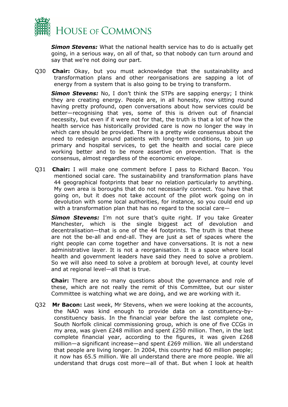

*Simon Stevens:* What the national health service has to do is actually get going, in a serious way, on all of that, so that nobody can turn around and say that we're not doing our part.

Q30 **Chair:** Okay, but you must acknowledge that the sustainability and transformation plans and other reorganisations are sapping a lot of energy from a system that is also going to be trying to transform.

*Simon Stevens:* No, I don't think the STPs are sapping energy; I think they are creating energy. People are, in all honesty, now sitting round having pretty profound, open conversations about how services could be better—recognising that yes, some of this is driven out of financial necessity, but even if it were not for that, the truth is that a lot of how the health service has historically provided care is now no longer the way in which care should be provided. There is a pretty wide consensus about the need to redesign around patients with long-term conditions, to join up primary and hospital services, to get the health and social care piece working better and to be more assertive on prevention. That is the consensus, almost regardless of the economic envelope.

Q31 **Chair:** I will make one comment before I pass to Richard Bacon. You mentioned social care. The sustainability and transformation plans have 44 geographical footprints that bear no relation particularly to anything. My own area is boroughs that do not necessarily connect. You have that going on, but it does not take account of the pilot work going on in devolution with some local authorities, for instance, so you could end up with a transformation plan that has no regard to the social care—

**Simon Stevens:** I'm not sure that's quite right. If you take Greater Manchester, which is the single biggest act of devolution and decentralisation—that is one of the 44 footprints. The truth is that these are not the be-all and end-all. They are just a set of spaces where the right people can come together and have conversations. It is not a new administrative layer. It is not a reorganisation. It is a space where local health and government leaders have said they need to solve a problem. So we will also need to solve a problem at borough level, at county level and at regional level—all that is true.

**Chair:** There are so many questions about the governance and role of these, which are not really the remit of this Committee, but our sister Committee is watching what we are doing, and we are working with it.

Q32 **Mr Bacon:** Last week, Mr Stevens, when we were looking at the accounts, the NAO was kind enough to provide data on a constituency-byconstituency basis. In the financial year before the last complete one, South Norfolk clinical commissioning group, which is one of five CCGs in my area, was given £248 million and spent £250 million. Then, in the last complete financial year, according to the figures, it was given £268 million—a significant increase—and spent £269 million. We all understand that people are living longer. In 2004, this country had 60 million people; it now has 65.5 million. We all understand there are more people. We all understand that drugs cost more—all of that. But when I look at health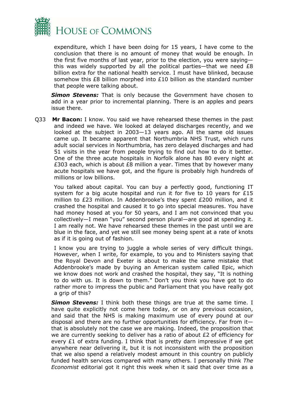

expenditure, which I have been doing for 15 years, I have come to the conclusion that there is no amount of money that would be enough. In the first five months of last year, prior to the election, you were saying this was widely supported by all the political parties—that we need  $£8$ billion extra for the national health service. I must have blinked, because somehow this £8 billion morphed into £10 billion as the standard number that people were talking about.

**Simon Stevens:** That is only because the Government have chosen to add in a year prior to incremental planning. There is an apples and pears issue there.

Q33 **Mr Bacon:** I know. You said we have rehearsed these themes in the past and indeed we have. We looked at delayed discharges recently, and we looked at the subject in 2003—13 years ago. All the same old issues came up. It became apparent that Northumbria NHS Trust, which runs adult social services in Northumbria, has zero delayed discharges and had 51 visits in the year from people trying to find out how to do it better. One of the three acute hospitals in Norfolk alone has 80 every night at £303 each, which is about £8 million a year. Times that by however many acute hospitals we have got, and the figure is probably high hundreds of millions or low billions.

You talked about capital. You can buy a perfectly good, functioning IT system for a big acute hospital and run it for five to 10 years for £15 million to £23 million. In Addenbrooke's they spent £200 million, and it crashed the hospital and caused it to go into special measures. You have had money hosed at you for 50 years, and I am not convinced that you collectively—I mean "you" second person plural—are good at spending it. I am really not. We have rehearsed these themes in the past until we are blue in the face, and yet we still see money being spent at a rate of knots as if it is going out of fashion.

I know you are trying to juggle a whole series of very difficult things. However, when I write, for example, to you and to Ministers saying that the Royal Devon and Exeter is about to make the same mistake that Addenbrooke's made by buying an American system called Epic, which we know does not work and crashed the hospital, they say, "It is nothing to do with us. It is down to them." Don't you think you have got to do rather more to impress the public and Parliament that you have really got a grip of this?

*Simon Stevens:* I think both these things are true at the same time. I have quite explicitly not come here today, or on any previous occasion, and said that the NHS is making maximum use of every pound at our disposal and there are no further opportunities for efficiency. Far from it that is absolutely not the case we are making. Indeed, the proposition that we are currently seeking to deliver has a ratio of about £2 of efficiency for every  $E1$  of extra funding. I think that is pretty darn impressive if we get anywhere near delivering it, but it is not inconsistent with the proposition that we also spend a relatively modest amount in this country on publicly funded health services compared with many others. I personally think *The Economist* editorial got it right this week when it said that over time as a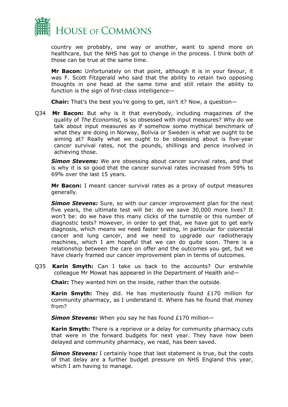

country we probably, one way or another, want to spend more on healthcare, but the NHS has got to change in the process. I think both of those can be true at the same time.

**Mr Bacon:** Unfortunately on that point, although it is in your favour, it was F. Scott Fitzgerald who said that the ability to retain two opposing thoughts in one head at the same time and still retain the ability to function is the sign of first-class intelligence—

**Chair:** That's the best you're going to get, isn't it? Now, a question—

Q34 **Mr Bacon:** But why is it that everybody, including magazines of the quality of *The Economist,* is so obsessed with input measures? Why do we talk about input measures as if somehow some mythical benchmark of what they are doing in Norway, Bolivia or Sweden is what we ought to be aiming at? Really what we ought to be obsessing about is five-year cancer survival rates, not the pounds, shillings and pence involved in achieving those.

*Simon Stevens:* We are obsessing about cancer survival rates, and that is why it is so good that the cancer survival rates increased from 59% to 69% over the last 15 years.

**Mr Bacon:** I meant cancer survival rates as a proxy of output measures generally.

**Simon Stevens:** Sure, so with our cancer improvement plan for the next five years, the ultimate test will be: do we save 30,000 more lives? It won't be: do we have this many clicks of the turnstile or this number of diagnostic tests? However, in order to get that, we have got to get early diagnosis, which means we need faster testing, in particular for colorectal cancer and lung cancer, and we need to upgrade our radiotherapy machines, which I am hopeful that we can do quite soon. There is a relationship between the care on offer and the outcomes you get, but we have clearly framed our cancer improvement plan in terms of outcomes.

Q35 **Karin Smyth:** Can I take us back to the accounts? Our erstwhile colleague Mr Mowat has appeared in the Department of Health and—

**Chair:** They wanted him on the inside, rather than the outside.

**Karin Smyth:** They did. He has mysteriously found £170 million for community pharmacy, as I understand it. Where has he found that money from?

*Simon Stevens:* When you say he has found £170 million—

**Karin Smyth:** There is a reprieve or a delay for community pharmacy cuts that were in the forward budgets for next year. They have now been delayed and community pharmacy, we read, has been saved.

*Simon Stevens:* I certainly hope that last statement is true, but the costs of that delay are a further budget pressure on NHS England this year, which I am having to manage.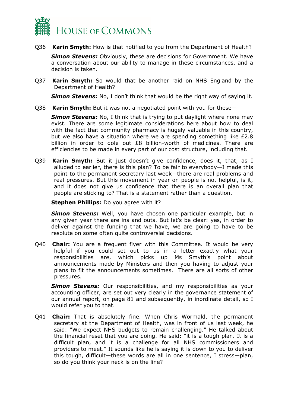

Q36 **Karin Smyth:** How is that notified to you from the Department of Health?

*Simon Stevens:* Obviously, these are decisions for Government. We have a conversation about our ability to manage in these circumstances, and a decision is taken.

Q37 **Karin Smyth:** So would that be another raid on NHS England by the Department of Health?

**Simon Stevens:** No, I don't think that would be the right way of saying it.

Q38 **Karin Smyth:** But it was not a negotiated point with you for these—

**Simon Stevens:** No, I think that is trying to put daylight where none may exist. There are some legitimate considerations here about how to deal with the fact that community pharmacy is hugely valuable in this country, but we also have a situation where we are spending something like £2.8 billion in order to dole out £8 billion-worth of medicines. There are efficiencies to be made in every part of our cost structure, including that.

Q39 **Karin Smyth:** But it just doesn't give confidence, does it, that, as I alluded to earlier, there is this plan? To be fair to everybody—I made this point to the permanent secretary last week—there are real problems and real pressures. But this movement in year on people is not helpful, is it, and it does not give us confidence that there is an overall plan that people are sticking to? That is a statement rather than a question.

**Stephen Phillips:** Do you agree with it?

*Simon Stevens:* Well, you have chosen one particular example, but in any given year there are ins and outs. But let's be clear: yes, in order to deliver against the funding that we have, we are going to have to be resolute on some often quite controversial decisions.

Q40 **Chair:** You are a frequent flyer with this Committee. It would be very helpful if you could set out to us in a letter exactly what your responsibilities are, which picks up Ms Smyth's point about announcements made by Ministers and then you having to adjust your plans to fit the announcements sometimes. There are all sorts of other pressures.

**Simon Stevens:** Our responsibilities, and my responsibilities as your accounting officer, are set out very clearly in the governance statement of our annual report, on page 81 and subsequently, in inordinate detail, so I would refer you to that.

Q41 **Chair:** That is absolutely fine. When Chris Wormald, the permanent secretary at the Department of Health, was in front of us last week, he said: "We expect NHS budgets to remain challenging." He talked about the financial reset that you are doing. He said: "it is a tough plan. It is a difficult plan, and it is a challenge for all NHS commissioners and providers to meet." It sounds like he is saying it is down to you to deliver this tough, difficult—these words are all in one sentence, I stress—plan, so do you think your neck is on the line?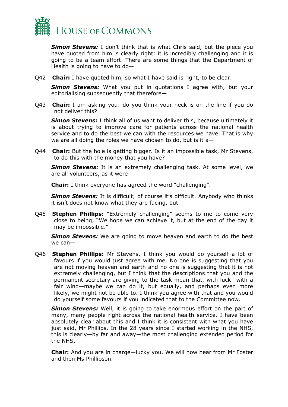

*Simon Stevens:* I don't think that is what Chris said, but the piece you have quoted from him is clearly right: it is incredibly challenging and it is going to be a team effort. There are some things that the Department of Health is going to have to do—

Q42 **Chair:** I have quoted him, so what I have said is right, to be clear.

**Simon Stevens:** What you put in quotations I agree with, but your editorialising subsequently that therefore—

Q43 **Chair:** I am asking you: do you think your neck is on the line if you do not deliver this?

**Simon Stevens:** I think all of us want to deliver this, because ultimately it is about trying to improve care for patients across the national health service and to do the best we can with the resources we have. That is why we are all doing the roles we have chosen to do, but is it a—

Q44 **Chair:** But the hole is getting bigger. Is it an impossible task, Mr Stevens, to do this with the money that you have?

*Simon Stevens:* It is an extremely challenging task. At some level, we are all volunteers, as it were—

**Chair:** I think everyone has agreed the word "challenging".

**Simon Stevens:** It is difficult; of course it's difficult. Anybody who thinks it isn't does not know what they are facing, but—

Q45 **Stephen Phillips:** "Extremely challenging" seems to me to come very close to being, "We hope we can achieve it, but at the end of the day it may be impossible."

*Simon Stevens:* We are going to move heaven and earth to do the best we can—

Q46 **Stephen Phillips:** Mr Stevens, I think you would do yourself a lot of favours if you would just agree with me. No one is suggesting that you are not moving heaven and earth and no one is suggesting that it is not extremely challenging, but I think that the descriptions that you and the permanent secretary are giving to the task mean that, with luck—with a fair wind—maybe we can do it, but equally, and perhaps even more likely, we might not be able to. I think you agree with that and you would do yourself some favours if you indicated that to the Committee now.

*Simon Stevens:* Well, it is going to take enormous effort on the part of many, many people right across the national health service. I have been absolutely clear about this and I think it is consistent with what you have just said, Mr Phillips. In the 28 years since I started working in the NHS, this is clearly—by far and away—the most challenging extended period for the NHS.

**Chair:** And you are in charge—lucky you. We will now hear from Mr Foster and then Ms Phillipson.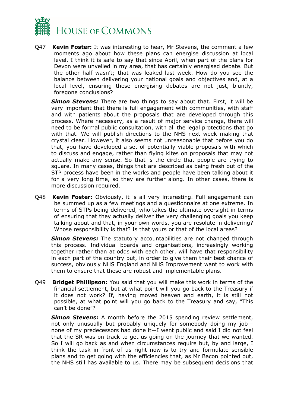

Q47 **Kevin Foster:** It was interesting to hear, Mr Stevens, the comment a few moments ago about how these plans can energise discussion at local level. I think it is safe to say that since April, when part of the plans for Devon were unveiled in my area, that has certainly energised debate. But the other half wasn't; that was leaked last week. How do you see the balance between delivering your national goals and objectives and, at a local level, ensuring these energising debates are not just, bluntly, foregone conclusions?

*Simon Stevens:* There are two things to say about that. First, it will be very important that there is full engagement with communities, with staff and with patients about the proposals that are developed through this process. Where necessary, as a result of major service change, there will need to be formal public consultation, with all the legal protections that go with that. We will publish directions to the NHS next week making that crystal clear. However, it also seems not unreasonable that before you do that, you have developed a set of potentially viable proposals with which to discuss and engage, rather than flying kites on proposals that may not actually make any sense. So that is the circle that people are trying to square. In many cases, things that are described as being fresh out of the STP process have been in the works and people have been talking about it for a very long time, so they are further along. In other cases, there is more discussion required.

Q48 **Kevin Foster:** Obviously, it is all very interesting. Full engagement can be summed up as a few meetings and a questionnaire at one extreme. In terms of STPs being delivered, who takes the ultimate oversight in terms of ensuring that they actually deliver the very challenging goals you keep talking about and that, in your own words, you are resolute in delivering? Whose responsibility is that? Is that yours or that of the local areas?

*Simon Stevens:* The statutory accountabilities are not changed through this process. Individual boards and organisations, increasingly working together rather than at odds with each other, will have that responsibility in each part of the country but, in order to give them their best chance of success, obviously NHS England and NHS Improvement want to work with them to ensure that these are robust and implementable plans.

Q49 **Bridget Phillipson:** You said that you will make this work in terms of the financial settlement, but at what point will you go back to the Treasury if it does not work? If, having moved heaven and earth, it is still not possible, at what point will you go back to the Treasury and say, "This can't be done"?

*Simon Stevens:* A month before the 2015 spending review settlement, not only unusually but probably uniquely for somebody doing my job none of my predecessors had done it—I went public and said I did not feel that the SR was on track to get us going on the journey that we wanted. So I will go back as and when circumstances require but, by and large, I think the task in front of us right now is to try and formulate sensible plans and to get going with the efficiencies that, as Mr Bacon pointed out, the NHS still has available to us. There may be subsequent decisions that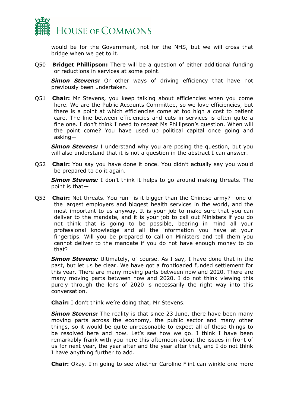

would be for the Government, not for the NHS, but we will cross that bridge when we get to it.

Q50 **Bridget Phillipson:** There will be a question of either additional funding or reductions in services at some point.

**Simon Stevens:** Or other ways of driving efficiency that have not previously been undertaken.

Q51 **Chair:** Mr Stevens, you keep talking about efficiencies when you come here. We are the Public Accounts Committee, so we love efficiencies, but there is a point at which efficiencies come at too high a cost to patient care. The line between efficiencies and cuts in services is often quite a fine one. I don't think I need to repeat Ms Phillipson's question. When will the point come? You have used up political capital once going and asking—

*Simon Stevens:* I understand why you are posing the question, but you will also understand that it is not a question in the abstract I can answer.

Q52 **Chair:** You say you have done it once. You didn't actually say you would be prepared to do it again.

*Simon Stevens:* I don't think it helps to go around making threats. The point is that—

Q53 **Chair:** Not threats. You run—is it bigger than the Chinese army?—one of the largest employers and biggest health services in the world, and the most important to us anyway. It is your job to make sure that you can deliver to the mandate, and it is your job to call out Ministers if you do not think that is going to be possible, bearing in mind all your professional knowledge and all the information you have at your fingertips. Will you be prepared to call on Ministers and tell them you cannot deliver to the mandate if you do not have enough money to do that?

*Simon Stevens:* Ultimately, of course. As I say, I have done that in the past, but let us be clear. We have got a frontloaded funded settlement for this year. There are many moving parts between now and 2020. There are many moving parts between now and 2020. I do not think viewing this purely through the lens of 2020 is necessarily the right way into this conversation.

**Chair:** I don't think we're doing that, Mr Stevens.

*Simon Stevens:* The reality is that since 23 June, there have been many moving parts across the economy, the public sector and many other things, so it would be quite unreasonable to expect all of these things to be resolved here and now. Let's see how we go. I think I have been remarkably frank with you here this afternoon about the issues in front of us for next year, the year after and the year after that, and I do not think I have anything further to add.

**Chair:** Okay. I'm going to see whether Caroline Flint can winkle one more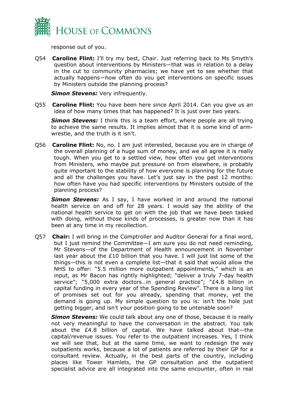

response out of you.

Q54 **Caroline Flint:** I'll try my best, Chair. Just referring back to Ms Smyth's question about interventions by Ministers—that was in relation to a delay in the cut to community pharmacies; we have yet to see whether that actually happens—how often do you get interventions on specific issues by Ministers outside the planning process?

*Simon Stevens: Very infrequently.* 

Q55 **Caroline Flint:** You have been here since April 2014. Can you give us an idea of how many times that has happened? It is just over two years.

*Simon Stevens:* I think this is a team effort, where people are all trying to achieve the same results. It implies almost that it is some kind of armwrestle, and the truth is it isn't.

Q56 **Caroline Flint:** No, no. I am just interested, because you are in charge of the overall planning of a huge sum of money, and we all agree it is really tough. When you get to a settled view, how often you get interventions from Ministers, who maybe put pressure on from elsewhere, is probably quite important to the stability of how everyone is planning for the future and all the challenges you have. Let's just say in the past 12 months: how often have you had specific interventions by Ministers outside of the planning process?

**Simon Stevens:** As I say, I have worked in and around the national health service on and off for 28 years. I would say the ability of the national health service to get on with the job that we have been tasked with doing, without those kinds of processes, is greater now than it has been at any time in my recollection.

Q57 **Chair:** I will bring in the Comptroller and Auditor General for a final word, but I just remind the Committee—I am sure you do not need reminding, Mr Stevens—of the Department of Health announcement in November last year about the £10 billion that you have. I will just list some of the things—this is not even a complete list—that it said that would allow the NHS to offer: "5.5 million more outpatient appointments," which is an input, as Mr Bacon has rightly highlighted; "deliver a truly 7-day health service"; "5,000 extra doctors...in general practice"; "£4.8 billion in capital funding in every year of the Spending Review". There is a long list of promises set out for you already, spending that money, yet the demand is going up. My simple question to you is: isn't the hole just getting bigger, and isn't your position going to be untenable soon?

*Simon Stevens:* We could talk about any one of those, because it is really not very meaningful to have the conversation in the abstract. You talk about the £4.8 billion of capital. We have talked about that—the capital/revenue issues. You refer to the outpatient increases. Yes, I think we will see that, but at the same time, we want to redesign the way outpatients works, because a lot of patients are referred by their GP for a consultant review. Actually, in the best parts of the country, including places like Tower Hamlets, the GP consultation and the outpatient specialist advice are all integrated into the same encounter, often in real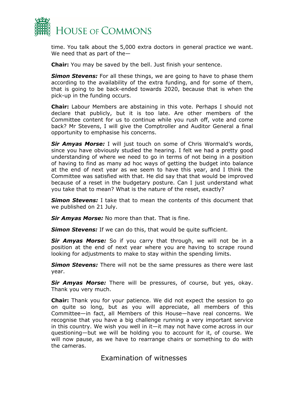

time. You talk about the 5,000 extra doctors in general practice we want. We need that as part of the—

**Chair:** You may be saved by the bell. Just finish your sentence.

*Simon Stevens:* For all these things, we are going to have to phase them according to the availability of the extra funding, and for some of them, that is going to be back-ended towards 2020, because that is when the pick-up in the funding occurs.

**Chair:** Labour Members are abstaining in this vote. Perhaps I should not declare that publicly, but it is too late. Are other members of the Committee content for us to continue while you rush off, vote and come back? Mr Stevens, I will give the Comptroller and Auditor General a final opportunity to emphasise his concerns.

*Sir Amyas Morse:* I will just touch on some of Chris Wormald's words, since you have obviously studied the hearing. I felt we had a pretty good understanding of where we need to go in terms of not being in a position of having to find as many ad hoc ways of getting the budget into balance at the end of next year as we seem to have this year, and I think the Committee was satisfied with that. He did say that that would be improved because of a reset in the budgetary posture. Can I just understand what you take that to mean? What is the nature of the reset, exactly?

*Simon Stevens:* I take that to mean the contents of this document that we published on 21 July.

*Sir Amyas Morse:* No more than that. That is fine.

**Simon Stevens:** If we can do this, that would be quite sufficient.

*Sir Amyas Morse:* So if you carry that through, we will not be in a position at the end of next year where you are having to scrape round looking for adjustments to make to stay within the spending limits.

**Simon Stevens:** There will not be the same pressures as there were last year.

*Sir Amyas Morse:* There will be pressures, of course, but yes, okay. Thank you very much.

**Chair:** Thank you for your patience. We did not expect the session to go on quite so long, but as you will appreciate, all members of this Committee—in fact, all Members of this House—have real concerns. We recognise that you have a big challenge running a very important service in this country. We wish you well in it—it may not have come across in our questioning—but we will be holding you to account for it, of course. We will now pause, as we have to rearrange chairs or something to do with the cameras.

### <span id="page-38-0"></span>Examination of witnesses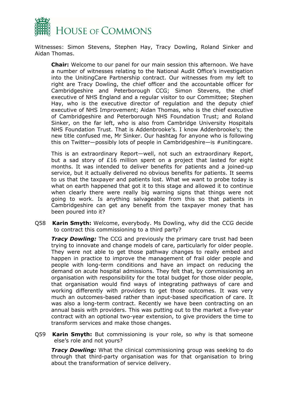

Witnesses: Simon Stevens, Stephen Hay, Tracy Dowling, Roland Sinker and Aidan Thomas.

**Chair:** Welcome to our panel for our main session this afternoon. We have a number of witnesses relating to the National Audit Office's investigation into the UnitingCare Partnership contract. Our witnesses from my left to right are Tracy Dowling, the chief officer and the accountable officer for Cambridgeshire and Peterborough CCG; Simon Stevens, the chief executive of NHS England and a regular visitor to our Committee; Stephen Hay, who is the executive director of regulation and the deputy chief executive of NHS Improvement; Aidan Thomas, who is the chief executive of Cambridgeshire and Peterborough NHS Foundation Trust; and Roland Sinker, on the far left, who is also from Cambridge University Hospitals NHS Foundation Trust. That is Addenbrooke's. I know Addenbrooke's; the new title confused me, Mr Sinker. Our hashtag for anyone who is following this on Twitter—possibly lots of people in Cambridgeshire—is #unitingcare.

This is an extraordinary Report—well, not such an extraordinary Report, but a sad story of £16 million spent on a project that lasted for eight months. It was intended to deliver benefits for patients and a joined-up service, but it actually delivered no obvious benefits for patients. It seems to us that the taxpayer and patients lost. What we want to probe today is what on earth happened that got it to this stage and allowed it to continue when clearly there were really big warning signs that things were not going to work. Is anything salvageable from this so that patients in Cambridgeshire can get any benefit from the taxpayer money that has been poured into it?

Q58 **Karin Smyth:** Welcome, everybody. Ms Dowling, why did the CCG decide to contract this commissioning to a third party?

*Tracy Dowling:* The CCG and previously the primary care trust had been trying to innovate and change models of care, particularly for older people. They were not able to get those pathway changes to really embed and happen in practice to improve the management of frail older people and people with long-term conditions and have an impact on reducing the demand on acute hospital admissions. They felt that, by commissioning an organisation with responsibility for the total budget for those older people, that organisation would find ways of integrating pathways of care and working differently with providers to get those outcomes. It was very much an outcomes-based rather than input-based specification of care. It was also a long-term contract. Recently we have been contracting on an annual basis with providers. This was putting out to the market a five-year contract with an optional two-year extension, to give providers the time to transform services and make those changes.

Q59 **Karin Smyth:** But commissioning is your role, so why is that someone else's role and not yours?

*Tracy Dowling:* What the clinical commissioning group was seeking to do through that third-party organisation was for that organisation to bring about the transformation of service delivery.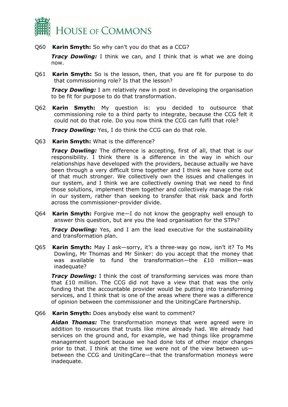

Q60 **Karin Smyth:** So why can't you do that as a CCG?

*Tracy Dowling:* I think we can, and I think that is what we are doing now.

Q61 **Karin Smyth:** So is the lesson, then, that you are fit for purpose to do that commissioning role? Is that the lesson?

*Tracy Dowling:* I am relatively new in post in developing the organisation to be fit for purpose to do that transformation.

Q62 **Karin Smyth:** My question is: you decided to outsource that commissioning role to a third party to integrate, because the CCG felt it could not do that role. Do you now think the CCG can fulfil that role?

*Tracy Dowling:* Yes, I do think the CCG can do that role.

Q63 **Karin Smyth:** What is the difference?

*Tracy Dowling:* The difference is accepting, first of all, that that is our responsibility. I think there is a difference in the way in which our relationships have developed with the providers, because actually we have been through a very difficult time together and I think we have come out of that much stronger. We collectively own the issues and challenges in our system, and I think we are collectively owning that we need to find those solutions, implement them together and collectively manage the risk in our system, rather than seeking to transfer that risk back and forth across the commissioner-provider divide.

Q64 **Karin Smyth:** Forgive me—I do not know the geography well enough to answer this question, but are you the lead organisation for the STPs?

*Tracy Dowling:* Yes, and I am the lead executive for the sustainability and transformation plan.

Q65 **Karin Smyth:** May I ask—sorry, it's a three-way go now, isn't it? To Ms Dowling, Mr Thomas and Mr Sinker: do you accept that the money that was available to fund the transformation—the £10 million—was inadequate?

*Tracy Dowling:* I think the cost of transforming services was more than that £10 million. The CCG did not have a view that that was the only funding that the accountable provider would be putting into transforming services, and I think that is one of the areas where there was a difference of opinion between the commissioner and the UnitingCare Partnership.

Q66 **Karin Smyth:** Does anybody else want to comment?

*Aidan Thomas:* The transformation moneys that were agreed were in addition to resources that trusts like mine already had. We already had services on the ground and, for example, we had things like programme management support because we had done lots of other major changes prior to that. I think at the time we were not of the view between us between the CCG and UnitingCare—that the transformation moneys were inadequate.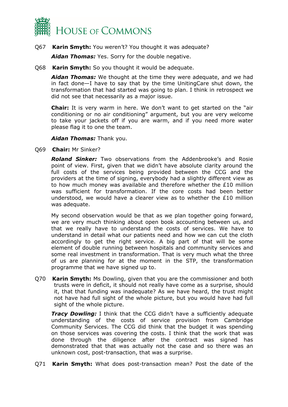

#### Q67 **Karin Smyth:** You weren't? You thought it was adequate?

*Aidan Thomas:* Yes. Sorry for the double negative.

Q68 **Karin Smyth:** So you thought it would be adequate.

*Aidan Thomas:* We thought at the time they were adequate, and we had in fact done—I have to say that by the time UnitingCare shut down, the transformation that had started was going to plan. I think in retrospect we did not see that necessarily as a major issue.

**Chair:** It is very warm in here. We don't want to get started on the "air conditioning or no air conditioning" argument, but you are very welcome to take your jackets off if you are warm, and if you need more water please flag it to one the team.

#### *Aidan Thomas:* Thank you.

Q69 **Chair:** Mr Sinker?

*Roland Sinker:* Two observations from the Addenbrooke's and Rosie point of view. First, given that we didn't have absolute clarity around the full costs of the services being provided between the CCG and the providers at the time of signing, everybody had a slightly different view as to how much money was available and therefore whether the £10 million was sufficient for transformation. If the core costs had been better understood, we would have a clearer view as to whether the £10 million was adequate.

My second observation would be that as we plan together going forward, we are very much thinking about open book accounting between us, and that we really have to understand the costs of services. We have to understand in detail what our patients need and how we can cut the cloth accordingly to get the right service. A big part of that will be some element of double running between hospitals and community services and some real investment in transformation. That is very much what the three of us are planning for at the moment in the STP, the transformation programme that we have signed up to.

Q70 **Karin Smyth:** Ms Dowling, given that you are the commissioner and both trusts were in deficit, it should not really have come as a surprise, should it, that that funding was inadequate? As we have heard, the trust might not have had full sight of the whole picture, but you would have had full sight of the whole picture.

**Tracy Dowling:** I think that the CCG didn't have a sufficiently adequate understanding of the costs of service provision from Cambridge Community Services. The CCG did think that the budget it was spending on those services was covering the costs. I think that the work that was done through the diligence after the contract was signed has demonstrated that that was actually not the case and so there was an unknown cost, post-transaction, that was a surprise.

Q71 **Karin Smyth:** What does post-transaction mean? Post the date of the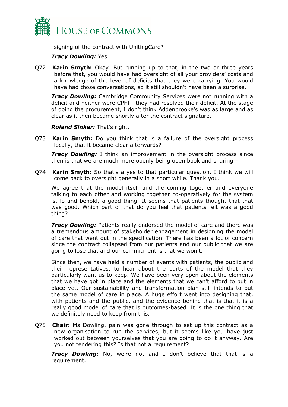

signing of the contract with UnitingCare?

#### *Tracy Dowling:* Yes.

Q72 **Karin Smyth:** Okay. But running up to that, in the two or three years before that, you would have had oversight of all your providers' costs and a knowledge of the level of deficits that they were carrying. You would have had those conversations, so it still shouldn't have been a surprise.

*Tracy Dowling:* Cambridge Community Services were not running with a deficit and neither were CPFT—they had resolved their deficit. At the stage of doing the procurement, I don't think Addenbrooke's was as large and as clear as it then became shortly after the contract signature.

*Roland Sinker:* That's right.

Q73 **Karin Smyth:** Do you think that is a failure of the oversight process locally, that it became clear afterwards?

*Tracy Dowling:* I think an improvement in the oversight process since then is that we are much more openly being open book and sharing—

Q74 **Karin Smyth:** So that's a yes to that particular question. I think we will come back to oversight generally in a short while. Thank you.

We agree that the model itself and the coming together and everyone talking to each other and working together co-operatively for the system is, lo and behold, a good thing. It seems that patients thought that that was good. Which part of that do you feel that patients felt was a good thing?

*Tracy Dowling:* Patients really endorsed the model of care and there was a tremendous amount of stakeholder engagement in designing the model of care that went out in the specification. There has been a lot of concern since the contract collapsed from our patients and our public that we are going to lose that and our commitment is that we won't.

Since then, we have held a number of events with patients, the public and their representatives, to hear about the parts of the model that they particularly want us to keep. We have been very open about the elements that we have got in place and the elements that we can't afford to put in place yet. Our sustainability and transformation plan still intends to put the same model of care in place. A huge effort went into designing that, with patients and the public, and the evidence behind that is that it is a really good model of care that is outcomes-based. It is the one thing that we definitely need to keep from this.

Q75 **Chair:** Ms Dowling, pain was gone through to set up this contract as a new organisation to run the services, but it seems like you have just worked out between yourselves that you are going to do it anyway. Are you not tendering this? Is that not a requirement?

*Tracy Dowling:* No, we're not and I don't believe that that is a requirement.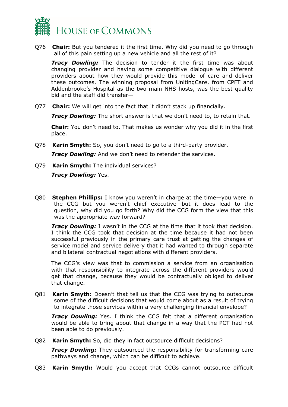

Q76 **Chair:** But you tendered it the first time. Why did you need to go through all of this pain setting up a new vehicle and all the rest of it?

*Tracy Dowling:* The decision to tender it the first time was about changing provider and having some competitive dialogue with different providers about how they would provide this model of care and deliver these outcomes. The winning proposal from UnitingCare, from CPFT and Addenbrooke's Hospital as the two main NHS hosts, was the best quality bid and the staff did transfer—

Q77 **Chair:** We will get into the fact that it didn't stack up financially.

*Tracy Dowling:* The short answer is that we don't need to, to retain that.

**Chair:** You don't need to. That makes us wonder why you did it in the first place.

Q78 **Karin Smyth:** So, you don't need to go to a third-party provider.

*Tracy Dowling:* And we don't need to retender the services.

Q79 **Karin Smyth:** The individual services?

*Tracy Dowling:* Yes.

Q80 **Stephen Phillips:** I know you weren't in charge at the time—you were in the CCG but you weren't chief executive—but it does lead to the question, why did you go forth? Why did the CCG form the view that this was the appropriate way forward?

*Tracy Dowling:* I wasn't in the CCG at the time that it took that decision. I think the CCG took that decision at the time because it had not been successful previously in the primary care trust at getting the changes of service model and service delivery that it had wanted to through separate and bilateral contractual negotiations with different providers.

The CCG's view was that to commission a service from an organisation with that responsibility to integrate across the different providers would get that change, because they would be contractually obliged to deliver that change.

Q81 **Karin Smyth:** Doesn't that tell us that the CCG was trying to outsource some of the difficult decisions that would come about as a result of trying to integrate those services within a very challenging financial envelope?

*Tracy Dowling:* Yes. I think the CCG felt that a different organisation would be able to bring about that change in a way that the PCT had not been able to do previously.

Q82 **Karin Smyth:** So, did they in fact outsource difficult decisions?

*Tracy Dowling:* They outsourced the responsibility for transforming care pathways and change, which can be difficult to achieve.

Q83 **Karin Smyth:** Would you accept that CCGs cannot outsource difficult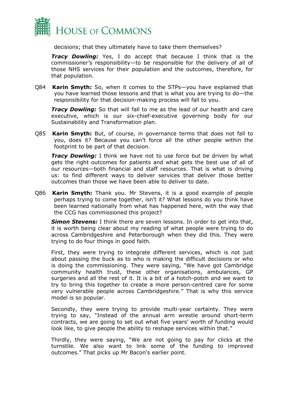

decisions; that they ultimately have to take them themselves?

*Tracy Dowling:* Yes, I do accept that because I think that is the commissioner's responsibility—to be responsible for the delivery of all of those NHS services for their population and the outcomes, therefore, for that population.

Q84 **Karin Smyth:** So, when it comes to the STPs—you have explained that you have learned those lessons and that is what you are trying to do—the responsibility for that decision-making process will fall to you.

*Tracy Dowling:* So that will fall to me as the lead of our health and care executive, which is our six-chief-executive governing body for our Sustainability and Transformation plan.

Q85 **Karin Smyth:** But, of course, in governance terms that does not fall to you, does it? Because you can't force all the other people within the footprint to be part of that decision.

*Tracy Dowling:* I think we have not to use force but be driven by what gets the right outcomes for patients and what gets the best use of all of our resources—both financial and staff resources. That is what is driving us: to find different ways to deliver services that deliver those better outcomes than those we have been able to deliver to date.

Q86 **Karin Smyth:** Thank you. Mr Stevens, it is a good example of people perhaps trying to come together, isn't it? What lessons do you think have been learned nationally from what has happened here, with the way that the CCG has commissioned this project?

*Simon Stevens:* I think there are seven lessons. In order to get into that, it is worth being clear about my reading of what people were trying to do across Cambridgeshire and Peterborough when they did this. They were trying to do four things in good faith.

First, they were trying to integrate different services, which is not just about passing the buck as to who is making the difficult decisions or who is doing the commissioning. They were saying, "We have got Cambridge community health trust, these other organisations, ambulances, GP surgeries and all the rest of it. It is a bit of a hotch-potch and we want to try to bring this together to create a more person-centred care for some very vulnerable people across Cambridgeshire." That is why this service model is so popular.

Secondly, they were trying to provide multi-year certainty. They were trying to say, "Instead of the annual arm wrestle around short-term contracts, we are going to set out what five years' worth of funding would look like, to give people the ability to reshape services within that."

Thirdly, they were saying, "We are not going to pay for clicks at the turnstile. We also want to link some of the funding to improved outcomes." That picks up Mr Bacon's earlier point.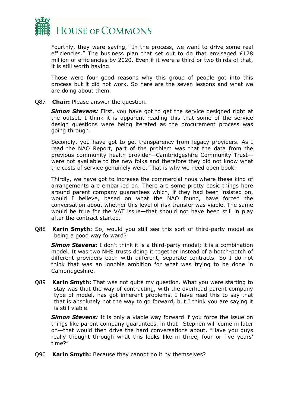

Fourthly, they were saying, "In the process, we want to drive some real efficiencies." The business plan that set out to do that envisaged £178 million of efficiencies by 2020. Even if it were a third or two thirds of that, it is still worth having.

Those were four good reasons why this group of people got into this process but it did not work. So here are the seven lessons and what we are doing about them.

Q87 **Chair:** Please answer the question.

**Simon Stevens:** First, you have got to get the service designed right at the outset. I think it is apparent reading this that some of the service design questions were being iterated as the procurement process was going through.

Secondly, you have got to get transparency from legacy providers. As I read the NAO Report, part of the problem was that the data from the previous community health provider—Cambridgeshire Community Trust were not available to the new folks and therefore they did not know what the costs of service genuinely were. That is why we need open book.

Thirdly, we have got to increase the commercial nous where these kind of arrangements are embarked on. There are some pretty basic things here around parent company guarantees which, if they had been insisted on, would I believe, based on what the NAO found, have forced the conversation about whether this level of risk transfer was viable. The same would be true for the VAT issue—that should not have been still in play after the contract started.

Q88 **Karin Smyth:** So, would you still see this sort of third-party model as being a good way forward?

**Simon Stevens:** I don't think it is a third-party model; it is a combination model. It was two NHS trusts doing it together instead of a hotch-potch of different providers each with different, separate contracts. So I do not think that was an ignoble ambition for what was trying to be done in Cambridgeshire.

Q89 **Karin Smyth:** That was not quite my question. What you were starting to stay was that the way of contracting, with the overhead parent company type of model, has got inherent problems. I have read this to say that that is absolutely not the way to go forward, but I think you are saying it is still viable.

*Simon Stevens:* It is only a viable way forward if you force the issue on things like parent company guarantees, in that—Stephen will come in later on—that would then drive the hard conversations about, "Have you guys really thought through what this looks like in three, four or five years' time?"

Q90 **Karin Smyth:** Because they cannot do it by themselves?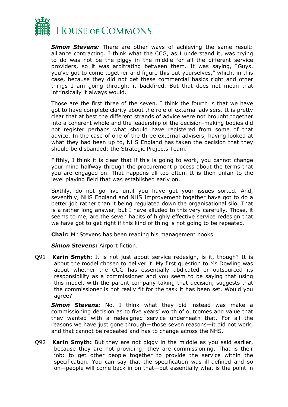

*Simon Stevens:* There are other ways of achieving the same result: alliance contracting. I think what the CCG, as I understand it, was trying to do was not be the piggy in the middle for all the different service providers, so it was arbitrating between them. It was saying, "Guys, you've got to come together and figure this out yourselves," which, in this case, because they did not get these commercial basics right and other things I am going through, it backfired. But that does not mean that intrinsically it always would.

Those are the first three of the seven. I think the fourth is that we have got to have complete clarity about the role of external advisers. It is pretty clear that at best the different strands of advice were not brought together into a coherent whole and the leadership of the decision-making bodies did not register perhaps what should have registered from some of that advice. In the case of one of the three external advisers, having looked at what they had been up to, NHS England has taken the decision that they should be disbanded: the Strategic Projects Team.

Fifthly, I think it is clear that if this is going to work, you cannot change your mind halfway through the procurement process about the terms that you are engaged on. That happens all too often. It is then unfair to the level playing field that was established early on.

Sixthly, do not go live until you have got your issues sorted. And, seventhly, NHS England and NHS Improvement together have got to do a better job rather than it being regulated down the organisational silo. That is a rather long answer, but I have alluded to this very carefully. Those, it seems to me, are the seven habits of highly effective service redesign that we have got to get right if this kind of thing is not going to be repeated.

**Chair:** Mr Stevens has been reading his management books.

*Simon Stevens:* Airport fiction.

Q91 **Karin Smyth:** It is not just about service redesign, is it, though? It is about the model chosen to deliver it. My first question to Ms Dowling was about whether the CCG has essentially abdicated or outsourced its responsibility as a commissioner and you seem to be saying that using this model, with the parent company taking that decision, suggests that the commissioner is not really fit for the task it has been set. Would you agree?

*Simon Stevens:* No. I think what they did instead was make a commissioning decision as to five years' worth of outcomes and value that they wanted with a redesigned service underneath that. For all the reasons we have just gone through—those seven reasons—it did not work, and that cannot be repeated and has to change across the NHS.

Q92 **Karin Smyth:** But they are not piggy in the middle as you said earlier, because they are not providing; they are commissioning. That is their job: to get other people together to provide the service within the specification. You can say that the specification was ill-defined and so on—people will come back in on that—but essentially what is the point in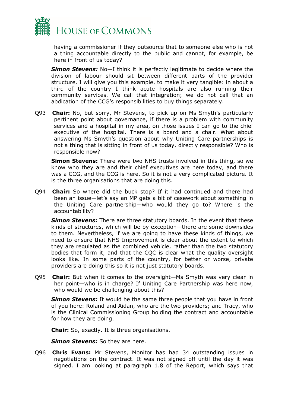

having a commissioner if they outsource that to someone else who is not a thing accountable directly to the public and cannot, for example, be here in front of us today?

*Simon Stevens:* No—I think it is perfectly legitimate to decide where the division of labour should sit between different parts of the provider structure. I will give you this example, to make it very tangible: in about a third of the country I think acute hospitals are also running their community services. We call that integration; we do not call that an abdication of the CCG's responsibilities to buy things separately.

Q93 **Chair:** No, but sorry, Mr Stevens, to pick up on Ms Smyth's particularly pertinent point about governance, if there is a problem with community services and a hospital in my area, on those issues I can go to the chief executive of the hospital. There is a board and a chair. What about answering Ms Smyth's question about why Uniting Care partnerships is not a thing that is sitting in front of us today, directly responsible? Who is responsible now?

**Simon Stevens:** There were two NHS trusts involved in this thing, so we know who they are and their chief executives are here today, and there was a CCG, and the CCG is here. So it is not a very complicated picture. It is the three organisations that are doing this.

Q94 **Chair:** So where did the buck stop? If it had continued and there had been an issue—let's say an MP gets a bit of casework about something in the Uniting Care partnership—who would they go to? Where is the accountability?

*Simon Stevens:* There are three statutory boards. In the event that these kinds of structures, which will be by exception—there are some downsides to them. Nevertheless, if we are going to have these kinds of things, we need to ensure that NHS Improvement is clear about the extent to which they are regulated as the combined vehicle, rather than the two statutory bodies that form it, and that the CQC is clear what the quality oversight looks like. In some parts of the country, for better or worse, private providers are doing this so it is not just statutory boards.

Q95 **Chair:** But when it comes to the oversight—Ms Smyth was very clear in her point—who is in charge? If Uniting Care Partnership was here now, who would we be challenging about this?

*Simon Stevens:* It would be the same three people that you have in front of you here: Roland and Aidan, who are the two providers; and Tracy, who is the Clinical Commissioning Group holding the contract and accountable for how they are doing.

**Chair:** So, exactly. It is three organisations.

**Simon Stevens:** So they are here.

Q96 **Chris Evans:** Mr Stevens, Monitor has had 34 outstanding issues in negotiations on the contract. It was not signed off until the day it was signed. I am looking at paragraph 1.8 of the Report, which says that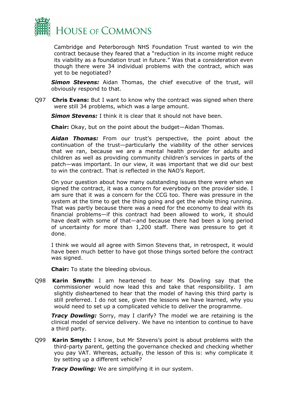

Cambridge and Peterborough NHS Foundation Trust wanted to win the contract because they feared that a "reduction in its income might reduce its viability as a foundation trust in future." Was that a consideration even though there were 34 individual problems with the contract, which was yet to be negotiated?

*Simon Stevens:* Aidan Thomas, the chief executive of the trust, will obviously respond to that.

Q97 **Chris Evans:** But I want to know why the contract was signed when there were still 34 problems, which was a large amount.

*Simon Stevens:* I think it is clear that it should not have been.

**Chair:** Okay, but on the point about the budget—Aidan Thomas.

*Aidan Thomas:* From our trust's perspective, the point about the continuation of the trust—particularly the viability of the other services that we ran, because we are a mental health provider for adults and children as well as providing community children's services in parts of the patch—was important. In our view, it was important that we did our best to win the contract. That is reflected in the NAO's Report.

On your question about how many outstanding issues there were when we signed the contract, it was a concern for everybody on the provider side. I am sure that it was a concern for the CCG too. There was pressure in the system at the time to get the thing going and get the whole thing running. That was partly because there was a need for the economy to deal with its financial problems—if this contract had been allowed to work, it should have dealt with some of that—and because there had been a long period of uncertainty for more than 1,200 staff. There was pressure to get it done.

I think we would all agree with Simon Stevens that, in retrospect, it would have been much better to have got those things sorted before the contract was signed.

**Chair:** To state the bleeding obvious.

Q98 **Karin Smyth:** I am heartened to hear Ms Dowling say that the commissioner would now lead this and take that responsibility. I am slightly disheartened to hear that the model of having this third party is still preferred. I do not see, given the lessons we have learned, why you would need to set up a complicated vehicle to deliver the programme.

*Tracy Dowling:* Sorry, may I clarify? The model we are retaining is the clinical model of service delivery. We have no intention to continue to have a third party.

Q99 **Karin Smyth:** I know, but Mr Stevens's point is about problems with the third-party parent, getting the governance checked and checking whether you pay VAT. Whereas, actually, the lesson of this is: why complicate it by setting up a different vehicle?

*Tracy Dowling:* We are simplifying it in our system.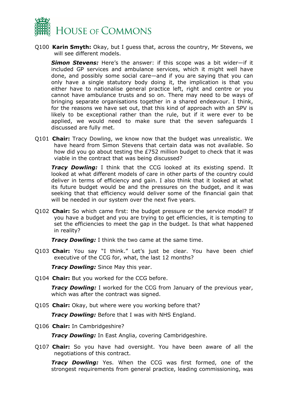

Q100 **Karin Smyth:** Okay, but I guess that, across the country, Mr Stevens, we will see different models.

*Simon Stevens:* Here's the answer: if this scope was a bit wider—if it included GP services and ambulance services, which it might well have done, and possibly some social care—and if you are saying that you can only have a single statutory body doing it, the implication is that you either have to nationalise general practice left, right and centre or you cannot have ambulance trusts and so on. There may need to be ways of bringing separate organisations together in a shared endeavour. I think, for the reasons we have set out, that this kind of approach with an SPV is likely to be exceptional rather than the rule, but if it were ever to be applied, we would need to make sure that the seven safeguards I discussed are fully met.

Q101 **Chair:** Tracy Dowling, we know now that the budget was unrealistic. We have heard from Simon Stevens that certain data was not available. So how did you go about testing the £752 million budget to check that it was viable in the contract that was being discussed?

*Tracy Dowling:* I think that the CCG looked at its existing spend. It looked at what different models of care in other parts of the country could deliver in terms of efficiency and gain. I also think that it looked at what its future budget would be and the pressures on the budget, and it was seeking that that efficiency would deliver some of the financial gain that will be needed in our system over the next five years.

Q102 **Chair:** So which came first: the budget pressure or the service model? If you have a budget and you are trying to get efficiencies, it is tempting to set the efficiencies to meet the gap in the budget. Is that what happened in reality?

*Tracy Dowling:* I think the two came at the same time.

Q103 **Chair:** You say "I think." Let's just be clear. You have been chief executive of the CCG for, what, the last 12 months?

*Tracy Dowling:* Since May this year.

Q104 **Chair:** But you worked for the CCG before.

*Tracy Dowling:* I worked for the CCG from January of the previous year, which was after the contract was signed.

Q105 **Chair:** Okay, but where were you working before that?

*Tracy Dowling:* Before that I was with NHS England.

Q106 **Chair:** In Cambridgeshire?

*Tracy Dowling:* In East Anglia, covering Cambridgeshire.

Q107 **Chair:** So you have had oversight. You have been aware of all the negotiations of this contract.

*Tracy Dowling:* Yes. When the CCG was first formed, one of the strongest requirements from general practice, leading commissioning, was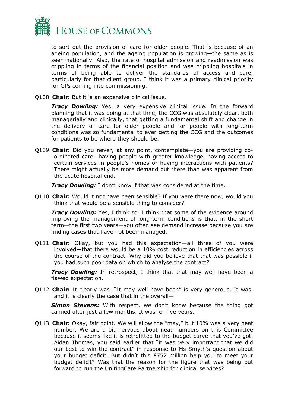

to sort out the provision of care for older people. That is because of an ageing population, and the ageing population is growing—the same as is seen nationally. Also, the rate of hospital admission and readmission was crippling in terms of the financial position and was crippling hospitals in terms of being able to deliver the standards of access and care, particularly for that client group. I think it was a primary clinical priority for GPs coming into commissioning.

Q108 **Chair:** But it is an expensive clinical issue.

*Tracy Dowling:* Yes, a very expensive clinical issue. In the forward planning that it was doing at that time, the CCG was absolutely clear, both managerially and clinically, that getting a fundamental shift and change in the delivery of care for older people and for people with long-term conditions was so fundamental to ever getting the CCG and the outcomes for patients to be where they should be.

Q109 **Chair:** Did you never, at any point, contemplate—you are providing coordinated care—having people with greater knowledge, having access to certain services in people's homes or having interactions with patients? There might actually be more demand out there than was apparent from the acute hospital end.

*Tracy Dowling:* I don't know if that was considered at the time.

Q110 **Chair:** Would it not have been sensible? If you were there now, would you think that would be a sensible thing to consider?

**Tracy Dowling:** Yes, I think so. I think that some of the evidence around improving the management of long-term conditions is that, in the short term—the first two years—you often see demand increase because you are finding cases that have not been managed.

Q111 **Chair:** Okay, but you had this expectation—all three of you were involved—that there would be a 10% cost reduction in efficiencies across the course of the contract. Why did you believe that that was possible if you had such poor data on which to analyse the contract?

*Tracy Dowling:* In retrospect, I think that that may well have been a flawed expectation.

Q112 **Chair:** It clearly was. "It may well have been" is very generous. It was, and it is clearly the case that in the overall—

**Simon Stevens:** With respect, we don't know because the thing got canned after just a few months. It was for five years.

Q113 **Chair:** Okay, fair point. We will allow the "may," but 10% was a very neat number. We are a bit nervous about neat numbers on this Committee because it seems like it is retrofitted to the budget curve that you've got. Aidan Thomas, you said earlier that "it was very important that we did our best to win the contract" in response to Ms Smyth's question about your budget deficit. But didn't this £752 million help you to meet your budget deficit? Was that the reason for the figure that was being put forward to run the UnitingCare Partnership for clinical services?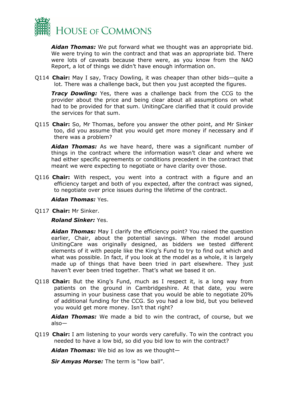

*Aidan Thomas:* We put forward what we thought was an appropriate bid. We were trying to win the contract and that was an appropriate bid. There were lots of caveats because there were, as you know from the NAO Report, a lot of things we didn't have enough information on.

Q114 **Chair:** May I say, Tracy Dowling, it was cheaper than other bids—quite a lot. There was a challenge back, but then you just accepted the figures.

*Tracy Dowling:* Yes, there was a challenge back from the CCG to the provider about the price and being clear about all assumptions on what had to be provided for that sum. UnitingCare clarified that it could provide the services for that sum.

Q115 **Chair:** So, Mr Thomas, before you answer the other point, and Mr Sinker too, did you assume that you would get more money if necessary and if there was a problem?

*Aidan Thomas:* As we have heard, there was a significant number of things in the contract where the information wasn't clear and where we had either specific agreements or conditions precedent in the contract that meant we were expecting to negotiate or have clarity over those.

Q116 **Chair:** With respect, you went into a contract with a figure and an efficiency target and both of you expected, after the contract was signed, to negotiate over price issues during the lifetime of the contract.

#### *Aidan Thomas:* Yes.

Q117 **Chair:** Mr Sinker.

#### *Roland Sinker:* Yes.

*Aidan Thomas:* May I clarify the efficiency point? You raised the question earlier, Chair, about the potential savings. When the model around UnitingCare was originally designed, as bidders we tested different elements of it with people like the King's Fund to try to find out which and what was possible. In fact, if you look at the model as a whole, it is largely made up of things that have been tried in part elsewhere. They just haven't ever been tried together. That's what we based it on.

Q118 **Chair:** But the King's Fund, much as I respect it, is a long way from patients on the ground in Cambridgeshire. At that date, you were assuming in your business case that you would be able to negotiate 20% of additional funding for the CCG. So you had a low bid, but you believed you would get more money. Isn't that right?

*Aidan Thomas:* We made a bid to win the contract, of course, but we also—

Q119 **Chair:** I am listening to your words very carefully. To win the contract you needed to have a low bid, so did you bid low to win the contract?

*Aidan Thomas:* We bid as low as we thought—

*Sir Amyas Morse:* The term is "low ball".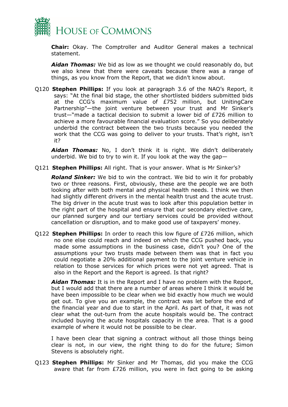

**Chair:** Okay. The Comptroller and Auditor General makes a technical statement.

*Aidan Thomas:* We bid as low as we thought we could reasonably do, but we also knew that there were caveats because there was a range of things, as you know from the Report, that we didn't know about.

Q120 **Stephen Phillips:** If you look at paragraph 3.6 of the NAO's Report, it says: "At the final bid stage, the other shortlisted bidders submitted bids at the CCG's maximum value of £752 million, but UnitingCare Partnership"—the joint venture between your trust and Mr Sinker's trust—"made a tactical decision to submit a lower bid of £726 million to achieve a more favourable financial evaluation score." So you deliberately underbid the contract between the two trusts because you needed the work that the CCG was going to deliver to your trusts. That's right, isn't it?

*Aidan Thomas:* No, I don't think it is right. We didn't deliberately underbid. We bid to try to win it. If you look at the way the gap—

Q121 **Stephen Phillips:** All right. That is your answer. What is Mr Sinker's?

*Roland Sinker:* We bid to win the contract. We bid to win it for probably two or three reasons. First, obviously, these are the people we are both looking after with both mental and physical health needs. I think we then had slightly different drivers in the mental health trust and the acute trust. The big driver in the acute trust was to look after this population better in the right part of the hospital and ensure that our secondary elective care, our planned surgery and our tertiary services could be provided without cancellation or disruption, and to make good use of taxpayers' money.

Q122 **Stephen Phillips:** In order to reach this low figure of £726 million, which no one else could reach and indeed on which the CCG pushed back, you made some assumptions in the business case, didn't you? One of the assumptions your two trusts made between them was that in fact you could negotiate a 20% additional payment to the joint venture vehicle in relation to those services for which prices were not yet agreed. That is also in the Report and the Report is agreed. Is that right?

*Aidan Thomas:* It is in the Report and I have no problem with the Report, but I would add that there are a number of areas where I think it would be have been impossible to be clear when we bid exactly how much we would get out. To give you an example, the contract was let before the end of the financial year and due to start in the April. As part of that, it was not clear what the out-turn from the acute hospitals would be. The contract included buying the acute hospitals capacity in the area. That is a good example of where it would not be possible to be clear.

I have been clear that signing a contract without all those things being clear is not, in our view, the right thing to do for the future; Simon Stevens is absolutely right.

Q123 **Stephen Phillips:** Mr Sinker and Mr Thomas, did you make the CCG aware that far from £726 million, you were in fact going to be asking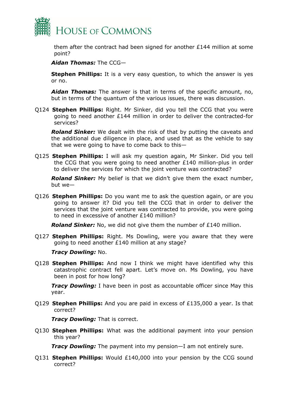

them after the contract had been signed for another £144 million at some point?

*Aidan Thomas:* The CCG—

**Stephen Phillips:** It is a very easy question, to which the answer is yes or no.

*Aidan Thomas:* The answer is that in terms of the specific amount, no, but in terms of the quantum of the various issues, there was discussion.

Q124 **Stephen Phillips:** Right. Mr Sinker, did you tell the CCG that you were going to need another £144 million in order to deliver the contracted-for services?

*Roland Sinker:* We dealt with the risk of that by putting the caveats and the additional due diligence in place, and used that as the vehicle to say that we were going to have to come back to this—

Q125 **Stephen Phillips:** I will ask my question again, Mr Sinker. Did you tell the CCG that you were going to need another £140 million-plus in order to deliver the services for which the joint venture was contracted?

*Roland Sinker:* My belief is that we didn't give them the exact number, but we—

Q126 **Stephen Phillips:** Do you want me to ask the question again, or are you going to answer it? Did you tell the CCG that in order to deliver the services that the joint venture was contracted to provide, you were going to need in excessive of another £140 million?

*Roland Sinker:* No, we did not give them the number of £140 million.

Q127 **Stephen Phillips:** Right. Ms Dowling, were you aware that they were going to need another £140 million at any stage?

#### *Tracy Dowling:* No.

Q128 **Stephen Phillips:** And now I think we might have identified why this catastrophic contract fell apart. Let's move on. Ms Dowling, you have been in post for how long?

*Tracy Dowling:* I have been in post as accountable officer since May this year.

Q129 **Stephen Phillips:** And you are paid in excess of £135,000 a year. Is that correct?

*Tracy Dowling:* That is correct.

Q130 **Stephen Phillips:** What was the additional payment into your pension this year?

*Tracy Dowling:* The payment into my pension—I am not entirely sure.

Q131 **Stephen Phillips:** Would £140,000 into your pension by the CCG sound correct?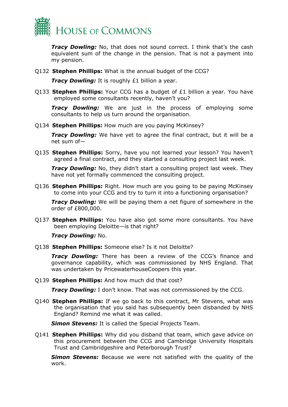

*Tracy Dowling:* No, that does not sound correct. I think that's the cash equivalent sum of the change in the pension. That is not a payment into my pension.

Q132 **Stephen Phillips:** What is the annual budget of the CCG?

*Tracy Dowling:* It is roughly £1 billion a year.

Q133 **Stephen Phillips:** Your CCG has a budget of £1 billion a year. You have employed some consultants recently, haven't you?

*Tracy Dowling:* We are just in the process of employing some consultants to help us turn around the organisation.

Q134 **Stephen Phillips:** How much are you paying McKinsey?

*Tracy Dowling:* We have yet to agree the final contract, but it will be a net sum of—

Q135 **Stephen Phillips:** Sorry, have you not learned your lesson? You haven't agreed a final contract, and they started a consulting project last week.

*Tracy Dowling:* No, they didn't start a consulting project last week. They have not yet formally commenced the consulting project.

Q136 **Stephen Phillips:** Right. How much are you going to be paying McKinsey to come into your CCG and try to turn it into a functioning organisation?

*Tracy Dowling:* We will be paying them a net figure of somewhere in the order of £800,000.

Q137 **Stephen Phillips:** You have also got some more consultants. You have been employing Deloitte—is that right?

*Tracy Dowling:* No.

Q138 **Stephen Phillips:** Someone else? Is it not Deloitte?

*Tracy Dowling:* There has been a review of the CCG's finance and governance capability, which was commissioned by NHS England. That was undertaken by PricewaterhouseCoopers this year.

Q139 **Stephen Phillips:** And how much did that cost?

*Tracy Dowling:* I don't know. That was not commissioned by the CCG.

Q140 **Stephen Phillips:** If we go back to this contract, Mr Stevens, what was the organisation that you said has subsequently been disbanded by NHS England? Remind me what it was called.

*Simon Stevens:* It is called the Special Projects Team.

Q141 **Stephen Phillips:** Why did you disband that team, which gave advice on this procurement between the CCG and Cambridge University Hospitals Trust and Cambridgeshire and Peterborough Trust?

**Simon Stevens:** Because we were not satisfied with the quality of the work.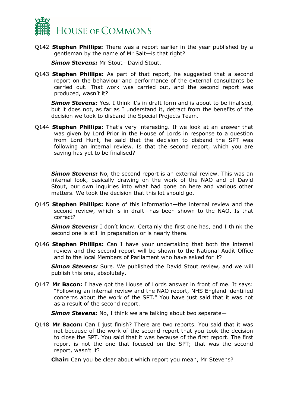

Q142 **Stephen Phillips:** There was a report earlier in the year published by a gentleman by the name of Mr Salt—is that right?

*Simon Stevens:* Mr Stout—David Stout.

Q143 **Stephen Phillips:** As part of that report, he suggested that a second report on the behaviour and performance of the external consultants be carried out. That work was carried out, and the second report was produced, wasn't it?

**Simon Stevens:** Yes. I think it's in draft form and is about to be finalised, but it does not, as far as I understand it, detract from the benefits of the decision we took to disband the Special Projects Team.

Q144 **Stephen Phillips:** That's very interesting. If we look at an answer that was given by Lord Prior in the House of Lords in response to a question from Lord Hunt, he said that the decision to disband the SPT was following an internal review. Is that the second report, which you are saying has yet to be finalised?

*Simon Stevens:* No, the second report is an external review. This was an internal look, basically drawing on the work of the NAO and of David Stout, our own inquiries into what had gone on here and various other matters. We took the decision that this lot should go.

Q145 **Stephen Phillips:** None of this information—the internal review and the second review, which is in draft—has been shown to the NAO. Is that correct?

*Simon Stevens:* I don't know. Certainly the first one has, and I think the second one is still in preparation or is nearly there.

Q146 **Stephen Phillips:** Can I have your undertaking that both the internal review and the second report will be shown to the National Audit Office and to the local Members of Parliament who have asked for it?

**Simon Stevens:** Sure. We published the David Stout review, and we will publish this one, absolutely.

Q147 **Mr Bacon:** I have got the House of Lords answer in front of me. It says: "Following an internal review and the NAO report, NHS England identified concerns about the work of the SPT." You have just said that it was not as a result of the second report.

*Simon Stevens:* No, I think we are talking about two separate—

Q148 **Mr Bacon:** Can I just finish? There are two reports. You said that it was not because of the work of the second report that you took the decision to close the SPT. You said that it was because of the first report. The first report is not the one that focused on the SPT; that was the second report, wasn't it?

**Chair:** Can you be clear about which report you mean, Mr Stevens?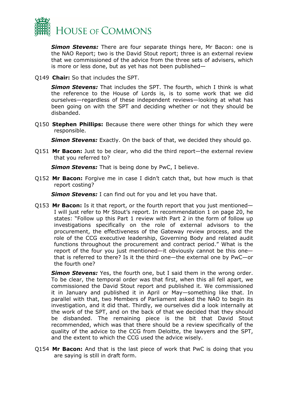

*Simon Stevens:* There are four separate things here, Mr Bacon: one is the NAO Report; two is the David Stout report; three is an external review that we commissioned of the advice from the three sets of advisers, which is more or less done, but as yet has not been published—

Q149 **Chair:** So that includes the SPT.

*Simon Stevens:* That includes the SPT. The fourth, which I think is what the reference to the House of Lords is, is to some work that we did ourselves—regardless of these independent reviews—looking at what has been going on with the SPT and deciding whether or not they should be disbanded.

Q150 **Stephen Phillips:** Because there were other things for which they were responsible.

**Simon Stevens:** Exactly. On the back of that, we decided they should go.

Q151 **Mr Bacon:** Just to be clear, who did the third report—the external review that you referred to?

*Simon Stevens:* That is being done by PwC, I believe.

Q152 **Mr Bacon:** Forgive me in case I didn't catch that, but how much is that report costing?

*Simon Stevens:* I can find out for you and let you have that.

Q153 **Mr Bacon:** Is it that report, or the fourth report that you just mentioned— I will just refer to Mr Stout's report. In recommendation 1 on page 20, he states: "Follow up this Part 1 review with Part 2 in the form of follow up investigations specifically on the role of external advisors to the procurement, the effectiveness of the Gateway review process, and the role of the CCG executive leadership, Governing Body and related audit functions throughout the procurement and contract period." What is the report of the four you just mentioned—it obviously cannot be this one that is referred to there? Is it the third one—the external one by PwC—or the fourth one?

**Simon Stevens:** Yes, the fourth one, but I said them in the wrong order. To be clear, the temporal order was that first, when this all fell apart, we commissioned the David Stout report and published it. We commissioned it in January and published it in April or May—something like that. In parallel with that, two Members of Parliament asked the NAO to begin its investigation, and it did that. Thirdly, we ourselves did a look internally at the work of the SPT, and on the back of that we decided that they should be disbanded. The remaining piece is the bit that David Stout recommended, which was that there should be a review specifically of the quality of the advice to the CCG from Deloitte, the lawyers and the SPT, and the extent to which the CCG used the advice wisely.

Q154 **Mr Bacon:** And that is the last piece of work that PwC is doing that you are saying is still in draft form.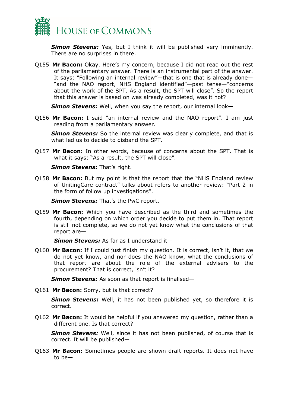

*Simon Stevens:* Yes, but I think it will be published very imminently. There are no surprises in there.

Q155 **Mr Bacon:** Okay. Here's my concern, because I did not read out the rest of the parliamentary answer. There is an instrumental part of the answer. It says: "Following an internal review"—that is one that is already done— "and the NAO report, NHS England identified"—past tense—"concerns about the work of the SPT. As a result, the SPT will close". So the report that this answer is based on was already completed, was it not?

*Simon Stevens:* Well, when you say the report, our internal look—

Q156 **Mr Bacon:** I said "an internal review and the NAO report". I am just reading from a parliamentary answer.

**Simon Stevens:** So the internal review was clearly complete, and that is what led us to decide to disband the SPT.

Q157 **Mr Bacon:** In other words, because of concerns about the SPT. That is what it says: "As a result, the SPT will close".

*Simon Stevens: That's right.* 

Q158 **Mr Bacon:** But my point is that the report that the "NHS England review of UnitingCare contract" talks about refers to another review: "Part 2 in the form of follow up investigations".

*Simon Stevens:* That's the PwC report.

Q159 **Mr Bacon:** Which you have described as the third and sometimes the fourth, depending on which order you decide to put them in. That report is still not complete, so we do not yet know what the conclusions of that report are—

*Simon Stevens:* As far as I understand it—

Q160 **Mr Bacon:** If I could just finish my question. It is correct, isn't it, that we do not yet know, and nor does the NAO know, what the conclusions of that report are about the role of the external advisers to the procurement? That is correct, isn't it?

*Simon Stevens:* As soon as that report is finalised—

Q161 **Mr Bacon:** Sorry, but is that correct?

*Simon Stevens:* Well, it has not been published yet, so therefore it is correct.

Q162 **Mr Bacon:** It would be helpful if you answered my question, rather than a different one. Is that correct?

*Simon Stevens:* Well, since it has not been published, of course that is correct. It will be published—

Q163 **Mr Bacon:** Sometimes people are shown draft reports. It does not have to be—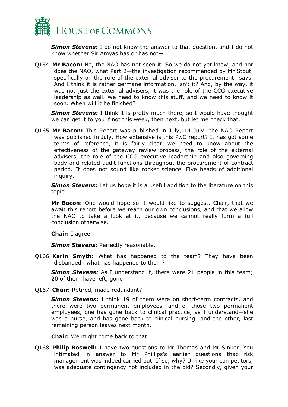

*Simon Stevens:* I do not know the answer to that question, and I do not know whether Sir Amyas has or has not—

Q164 **Mr Bacon:** No, the NAO has not seen it. So we do not yet know, and nor does the NAO, what Part 2—the investigation recommended by Mr Stout, specifically on the role of the external adviser to the procurement—says. And I think it is rather germane information, isn't it? And, by the way, it was not just the external advisers, it was the role of the CCG executive leadership as well. We need to know this stuff, and we need to know it soon. When will it be finished?

**Simon Stevens:** I think it is pretty much there, so I would have thought we can get it to you if not this week, then next, but let me check that.

Q165 **Mr Bacon:** This Report was published in July, 14 July—the NAO Report was published in July. How extensive is this PwC report? It has got some terms of reference, it is fairly clear—we need to know about the effectiveness of the gateway review process, the role of the external advisers, the role of the CCG executive leadership and also governing body and related audit functions throughout the procurement of contract period. It does not sound like rocket science. Five heads of additional inquiry.

**Simon Stevens:** Let us hope it is a useful addition to the literature on this topic.

**Mr Bacon:** One would hope so. I would like to suggest, Chair, that we await this report before we reach our own conclusions, and that we allow the NAO to take a look at it, because we cannot really form a full conclusion otherwise.

**Chair:** I agree.

**Simon Stevens: Perfectly reasonable.** 

Q166 **Karin Smyth:** What has happened to the team? They have been disbanded—what has happened to them?

**Simon Stevens:** As I understand it, there were 21 people in this team; 20 of them have left, gone—

Q167 **Chair:** Retired, made redundant?

*Simon Stevens:* I think 19 of them were on short-term contracts, and there were two permanent employees, and of those two permanent employees, one has gone back to clinical practice, as I understand—she was a nurse, and has gone back to clinical nursing—and the other, last remaining person leaves next month.

**Chair:** We might come back to that.

Q168 **Philip Boswell:** I have two questions to Mr Thomas and Mr Sinker. You intimated in answer to Mr Phillips's earlier questions that risk management was indeed carried out. If so, why? Unlike your competitors, was adequate contingency not included in the bid? Secondly, given your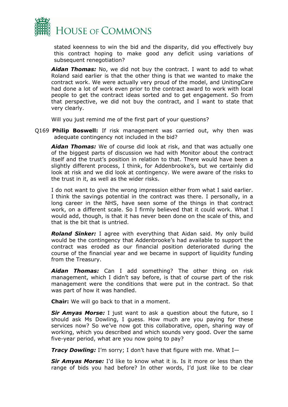

stated keenness to win the bid and the disparity, did you effectively buy this contract hoping to make good any deficit using variations of subsequent renegotiation?

*Aidan Thomas:* No, we did not buy the contract. I want to add to what Roland said earlier is that the other thing is that we wanted to make the contract work. We were actually very proud of the model, and UnitingCare had done a lot of work even prior to the contract award to work with local people to get the contract ideas sorted and to get engagement. So from that perspective, we did not buy the contract, and I want to state that very clearly.

Will you just remind me of the first part of your questions?

Q169 **Philip Boswell:** If risk management was carried out, why then was adequate contingency not included in the bid?

*Aidan Thomas:* We of course did look at risk, and that was actually one of the biggest parts of discussion we had with Monitor about the contract itself and the trust's position in relation to that. There would have been a slightly different process, I think, for Addenbrooke's, but we certainly did look at risk and we did look at contingency. We were aware of the risks to the trust in it, as well as the wider risks.

I do not want to give the wrong impression either from what I said earlier. I think the savings potential in the contract was there. I personally, in a long career in the NHS, have seen some of the things in that contract work, on a different scale. So I firmly believed that it could work. What I would add, though, is that it has never been done on the scale of this, and that is the bit that is untried.

*Roland Sinker:* I agree with everything that Aidan said. My only build would be the contingency that Addenbrooke's had available to support the contract was eroded as our financial position deteriorated during the course of the financial year and we became in support of liquidity funding from the Treasury.

*Aidan Thomas:* Can I add something? The other thing on risk management, which I didn't say before, is that of course part of the risk management were the conditions that were put in the contract. So that was part of how it was handled.

**Chair:** We will go back to that in a moment.

*Sir Amyas Morse:* I just want to ask a question about the future, so I should ask Ms Dowling, I guess. How much are you paying for these services now? So we've now got this collaborative, open, sharing way of working, which you described and which sounds very good. Over the same five-year period, what are you now going to pay?

*Tracy Dowling:* I'm sorry; I don't have that figure with me. What I—

*Sir Amyas Morse:* I'd like to know what it is. Is it more or less than the range of bids you had before? In other words, I'd just like to be clear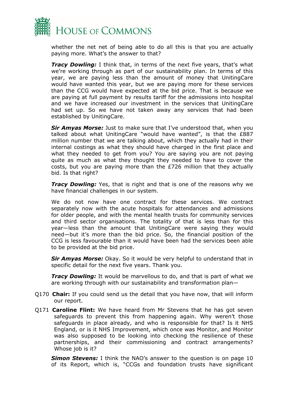

whether the net net of being able to do all this is that you are actually paying more. What's the answer to that?

*Tracy Dowling:* I think that, in terms of the next five years, that's what we're working through as part of our sustainability plan. In terms of this year, we are paying less than the amount of money that UnitingCare would have wanted this year, but we are paying more for these services than the CCG would have expected at the bid price. That is because we are paying at full payment by results tariff for the admissions into hospital and we have increased our investment in the services that UnitingCare had set up. So we have not taken away any services that had been established by UnitingCare.

*Sir Amyas Morse:* Just to make sure that I've understood that, when you talked about what UnitingCare "would have wanted", is that the £887 million number that we are talking about, which they actually had in their internal costings as what they should have charged in the first place and what they needed to get from you? You are saying you are not paying quite as much as what they thought they needed to have to cover the costs, but you are paying more than the £726 million that they actually bid. Is that right?

*Tracy Dowling:* Yes, that is right and that is one of the reasons why we have financial challenges in our system.

We do not now have one contract for these services. We contract separately now with the acute hospitals for attendances and admissions for older people, and with the mental health trusts for community services and third sector organisations. The totality of that is less than for this year—less than the amount that UnitingCare were saying they would need—but it's more than the bid price. So, the financial position of the CCG is less favourable than it would have been had the services been able to be provided at the bid price.

*Sir Amyas Morse:* Okay. So it would be very helpful to understand that in specific detail for the next five years. Thank you.

*Tracy Dowling:* It would be marvellous to do, and that is part of what we are working through with our sustainability and transformation plan—

- Q170 **Chair:** If you could send us the detail that you have now, that will inform our report.
- Q171 **Caroline Flint:** We have heard from Mr Stevens that he has got seven safeguards to prevent this from happening again. Why weren't those safeguards in place already, and who is responsible for that? Is it NHS England, or is it NHS Improvement, which once was Monitor, and Monitor was also supposed to be looking into checking the resilience of these partnerships, and their commissioning and contract arrangements? Whose job is it?

*Simon Stevens:* I think the NAO's answer to the question is on page 10 of its Report, which is, "CCGs and foundation trusts have significant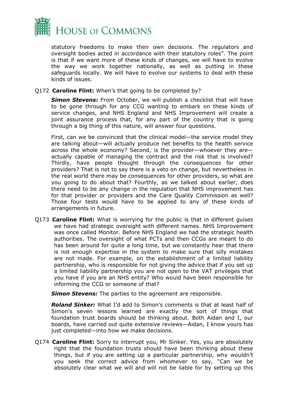

statutory freedoms to make their own decisions. The regulators and oversight bodies acted in accordance with their statutory roles". The point is that if we want more of these kinds of changes, we will have to evolve the way we work together nationally, as well as putting in these safeguards locally. We will have to evolve our systems to deal with these kinds of issues.

#### Q172 **Caroline Flint:** When's that going to be completed by?

*Simon Stevens:* From October, we will publish a checklist that will have to be gone through for any CCG wanting to embark on these kinds of service changes, and NHS England and NHS Improvement will create a joint assurance process that, for any part of the country that is going through a big thing of this nature, will answer four questions.

First, can we be convinced that the clinical model—the service model they are talking about—will actually produce net benefits to the health service across the whole economy? Second, is the provider—whoever they are actually capable of managing the contract and the risk that is involved? Thirdly, have people thought through the consequences for other providers? That is not to say there is a veto on change, but nevertheless in the real world there may be consequences for other providers, so what are you going to do about that? Fourthly, as we talked about earlier, does there need to be any change in the regulation that NHS improvement has for that provider or providers and the Care Quality Commission as well? Those four tests would have to be applied to any of these kinds of arrangements in future.

Q173 **Caroline Flint:** What is worrying for the public is that in different guises we have had strategic oversight with different names. NHS Improvement was once called Monitor. Before NHS England we had the strategic health authorities. The oversight of what PCTs and then CCGs are meant to do has been around for quite a long time, but we constantly hear that there is not enough expertise in the system to make sure that silly mistakes are not made. For example, on the establishment of a limited liability partnership, who is responsible for not giving the advice that if you set up a limited liability partnership you are not open to the VAT privileges that you have if you are an NHS entity? Who would have been responsible for informing the CCG or someone of that?

*Simon Stevens:* The parties to the agreement are responsible.

*Roland Sinker:* What I'd add to Simon's comments is that at least half of Simon's seven lessons learned are exactly the sort of things that foundation trust boards should be thinking about. Both Aidan and I, our boards, have carried out quite extensive reviews—Aidan, I know yours has just completed—into how we make decisions.

Q174 **Caroline Flint:** Sorry to interrupt you, Mr Sinker. Yes, you are absolutely right that the foundation trusts should have been thinking about these things, but if you are setting up a particular partnership, why wouldn't you seek the correct advice from whomever to say, "Can we be absolutely clear what we will and will not be liable for by setting up this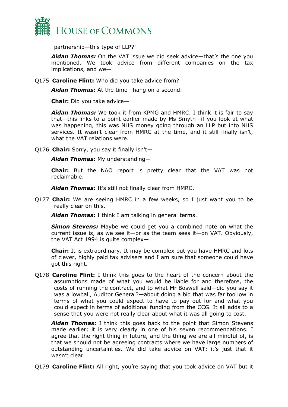

partnership—this type of LLP?"

*Aidan Thomas:* On the VAT issue we did seek advice—that's the one you mentioned. We took advice from different companies on the tax implications, and we—

Q175 **Caroline Flint:** Who did you take advice from?

*Aidan Thomas:* At the time—hang on a second.

**Chair:** Did you take advice—

*Aidan Thomas:* We took it from KPMG and HMRC. I think it is fair to say that—this links to a point earlier made by Ms Smyth—if you look at what was happening, this was NHS money going through an LLP but into NHS services. It wasn't clear from HMRC at the time, and it still finally isn't, what the VAT relations were.

Q176 **Chair:** Sorry, you say it finally isn't—

*Aidan Thomas:* My understanding—

**Chair:** But the NAO report is pretty clear that the VAT was not reclaimable.

*Aidan Thomas:* It's still not finally clear from HMRC.

Q177 **Chair:** We are seeing HMRC in a few weeks, so I just want you to be really clear on this.

*Aidan Thomas:* I think I am talking in general terms.

*Simon Stevens:* Maybe we could get you a combined note on what the current issue is, as we see it—or as the team sees it—on VAT. Obviously, the VAT Act 1994 is quite complex—

**Chair:** It is extraordinary. It may be complex but you have HMRC and lots of clever, highly paid tax advisers and I am sure that someone could have got this right.

Q178 **Caroline Flint:** I think this goes to the heart of the concern about the assumptions made of what you would be liable for and therefore, the costs of running the contract, and to what Mr Boswell said—did you say it was a lowball, Auditor General?—about doing a bid that was far too low in terms of what you could expect to have to pay out for and what you could expect in terms of additional funding from the CCG. It all adds to a sense that you were not really clear about what it was all going to cost.

*Aidan Thomas:* I think this goes back to the point that Simon Stevens made earlier; it is very clearly in one of his seven recommendations. I agree that the right thing in future, and the thing we are all mindful of, is that we should not be agreeing contracts where we have large numbers of outstanding uncertainties. We did take advice on VAT; it's just that it wasn't clear.

Q179 **Caroline Flint:** All right, you're saying that you took advice on VAT but it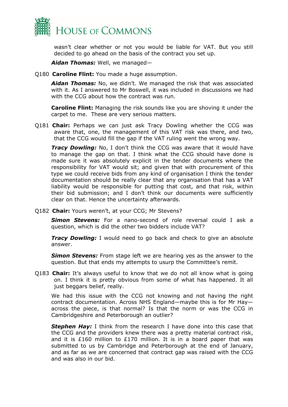

wasn't clear whether or not you would be liable for VAT. But you still decided to go ahead on the basis of the contract you set up.

*Aidan Thomas:* Well, we managed—

Q180 **Caroline Flint:** You made a huge assumption.

*Aidan Thomas:* No, we didn't. We managed the risk that was associated with it. As I answered to Mr Boswell, it was included in discussions we had with the CCG about how the contract was run.

**Caroline Flint:** Managing the risk sounds like you are shoving it under the carpet to me. These are very serious matters.

Q181 **Chair:** Perhaps we can just ask Tracy Dowling whether the CCG was aware that, one, the management of this VAT risk was there, and two, that the CCG would fill the gap if the VAT ruling went the wrong way.

*Tracy Dowling:* No, I don't think the CCG was aware that it would have to manage the gap on that. I think what the CCG should have done is made sure it was absolutely explicit in the tender documents where the responsibility for VAT would sit; and given that with procurement of this type we could receive bids from any kind of organisation I think the tender documentation should be really clear that any organisation that has a VAT liability would be responsible for putting that cost, and that risk, within their bid submission; and I don't think our documents were sufficiently clear on that. Hence the uncertainty afterwards.

Q182 **Chair:** Yours weren't, at your CCG; Mr Stevens?

*Simon Stevens:* For a nano-second of role reversal could I ask a question, which is did the other two bidders include VAT?

**Tracy Dowling:** I would need to go back and check to give an absolute answer.

*Simon Stevens:* From stage left we are hearing yes as the answer to the question. But that ends my attempts to usurp the Committee's remit.

Q183 **Chair:** It's always useful to know that we do not all know what is going on. I think it is pretty obvious from some of what has happened. It all just beggars belief, really.

We had this issue with the CCG not knowing and not having the right contract documentation. Across NHS England—maybe this is for Mr Hay across the piece, is that normal? Is that the norm or was the CCG in Cambridgeshire and Peterborough an outlier?

*Stephen Hay:* I think from the research I have done into this case that the CCG and the providers knew there was a pretty material contract risk, and it is £160 million to £170 million. It is in a board paper that was submitted to us by Cambridge and Peterborough at the end of January, and as far as we are concerned that contract gap was raised with the CCG and was also in our bid.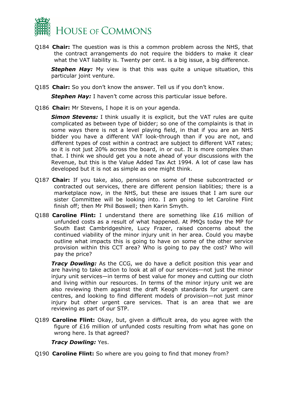

Q184 **Chair:** The question was is this a common problem across the NHS, that the contract arrangements do not require the bidders to make it clear what the VAT liability is. Twenty per cent. is a big issue, a big difference.

**Stephen Hay:** My view is that this was quite a unique situation, this particular joint venture.

Q185 **Chair:** So you don't know the answer. Tell us if you don't know.

**Stephen Hay:** I haven't come across this particular issue before.

Q186 **Chair:** Mr Stevens, I hope it is on your agenda.

**Simon Stevens:** I think usually it is explicit, but the VAT rules are quite complicated as between type of bidder; so one of the complaints is that in some ways there is not a level playing field, in that if you are an NHS bidder you have a different VAT look-through than if you are not, and different types of cost within a contract are subject to different VAT rates; so it is not just 20% across the board, in or out. It is more complex than that. I think we should get you a note ahead of your discussions with the Revenue, but this is the Value Added Tax Act 1994. A lot of case law has developed but it is not as simple as one might think.

- Q187 **Chair:** If you take, also, pensions on some of these subcontracted or contracted out services, there are different pension liablities; there is a marketplace now, in the NHS, but these are issues that I am sure our sister Committee will be looking into. I am going to let Caroline Flint finish off; then Mr Phil Boswell; then Karin Smyth.
- Q188 **Caroline Flint:** I understand there are something like £16 million of unfunded costs as a result of what happened. At PMQs today the MP for South East Cambridgeshire, Lucy Frazer, raised concerns about the continued viability of the minor injury unit in her area. Could you maybe outline what impacts this is going to have on some of the other service provision within this CCT area? Who is going to pay the cost? Who will pay the price?

*Tracy Dowling:* As the CCG, we do have a deficit position this year and are having to take action to look at all of our services—not just the minor injury unit services—in terms of best value for money and cutting our cloth and living within our resources. In terms of the minor injury unit we are also reviewing them against the draft Keogh standards for urgent care centres, and looking to find different models of provision—not just minor injury but other urgent care services. That is an area that we are reviewing as part of our STP.

Q189 **Caroline Flint:** Okay, but, given a difficult area, do you agree with the figure of £16 million of unfunded costs resulting from what has gone on wrong here. Is that agreed?

#### *Tracy Dowling:* Yes.

Q190 **Caroline Flint:** So where are you going to find that money from?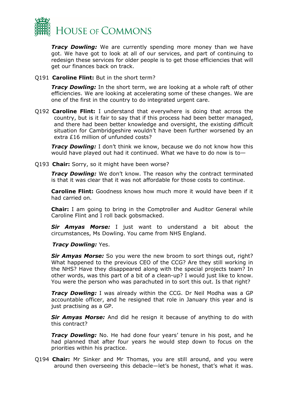

*Tracy Dowling:* We are currently spending more money than we have got. We have got to look at all of our services, and part of continuing to redesign these services for older people is to get those efficiencies that will get our finances back on track.

Q191 **Caroline Flint:** But in the short term?

*Tracy Dowling:* In the short term, we are looking at a whole raft of other efficiencies. We are looking at accelerating some of these changes. We are one of the first in the country to do integrated urgent care.

Q192 **Caroline Flint:** I understand that everywhere is doing that across the country, but is it fair to say that if this process had been better managed, and there had been better knowledge and oversight, the existing difficult situation for Cambridgeshire wouldn't have been further worsened by an extra £16 million of unfunded costs?

*Tracy Dowling:* I don't think we know, because we do not know how this would have played out had it continued. What we have to do now is to—

Q193 **Chair:** Sorry, so it might have been worse?

*Tracy Dowling:* We don't know. The reason why the contract terminated is that it was clear that it was not affordable for those costs to continue.

**Caroline Flint:** Goodness knows how much more it would have been if it had carried on.

**Chair:** I am going to bring in the Comptroller and Auditor General while Caroline Flint and I roll back gobsmacked.

*Sir Amyas Morse:* I just want to understand a bit about the circumstances, Ms Dowling. You came from NHS England.

#### *Tracy Dowling:* Yes.

*Sir Amyas Morse:* So you were the new broom to sort things out, right? What happened to the previous CEO of the CCG? Are they still working in the NHS? Have they disappeared along with the special projects team? In other words, was this part of a bit of a clean-up? I would just like to know. You were the person who was parachuted in to sort this out. Is that right?

*Tracy Dowling:* I was already within the CCG. Dr Neil Modha was a GP accountable officer, and he resigned that role in January this year and is just practising as a GP.

*Sir Amyas Morse:* And did he resign it because of anything to do with this contract?

*Tracy Dowling:* No. He had done four years' tenure in his post, and he had planned that after four years he would step down to focus on the priorities within his practice.

Q194 **Chair:** Mr Sinker and Mr Thomas, you are still around, and you were around then overseeing this debacle—let's be honest, that's what it was.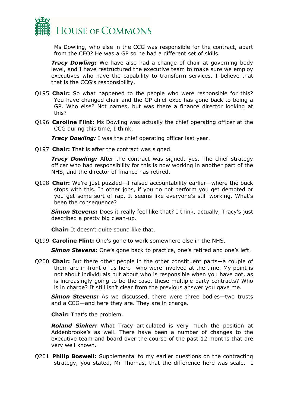

Ms Dowling, who else in the CCG was responsible for the contract, apart from the CEO? He was a GP so he had a different set of skills.

*Tracy Dowling:* We have also had a change of chair at governing body level, and I have restructured the executive team to make sure we employ executives who have the capability to transform services. I believe that that is the CCG's responsibility.

- Q195 **Chair:** So what happened to the people who were responsible for this? You have changed chair and the GP chief exec has gone back to being a GP. Who else? Not names, but was there a finance director looking at this?
- Q196 **Caroline Flint:** Ms Dowling was actually the chief operating officer at the CCG during this time, I think.

*Tracy Dowling:* I was the chief operating officer last year.

Q197 **Chair:** That is after the contract was signed.

*Tracy Dowling:* After the contract was signed, yes. The chief strategy officer who had responsibility for this is now working in another part of the NHS, and the director of finance has retired.

Q198 **Chair:** We're just puzzled—I raised accountability earlier—where the buck stops with this. In other jobs, if you do not perform you get demoted or you get some sort of rap. It seems like everyone's still working. What's been the consequence?

**Simon Stevens:** Does it really feel like that? I think, actually, Tracy's just described a pretty big clean-up.

**Chair:** It doesn't quite sound like that.

Q199 **Caroline Flint:** One's gone to work somewhere else in the NHS.

**Simon Stevens:** One's gone back to practice, one's retired and one's left.

Q200 **Chair:** But there other people in the other constituent parts—a couple of them are in front of us here—who were involved at the time. My point is not about individuals but about who is responsible when you have got, as is increasingly going to be the case, these multiple-party contracts? Who is in charge? It still isn't clear from the previous answer you gave me.

*Simon Stevens:* As we discussed, there were three bodies—two trusts and a CCG—and here they are. They are in charge.

**Chair:** That's the problem.

*Roland Sinker:* What Tracy articulated is very much the position at Addenbrooke's as well. There have been a number of changes to the executive team and board over the course of the past 12 months that are very well known.

Q201 **Philip Boswell:** Supplemental to my earlier questions on the contracting strategy, you stated, Mr Thomas, that the difference here was scale. I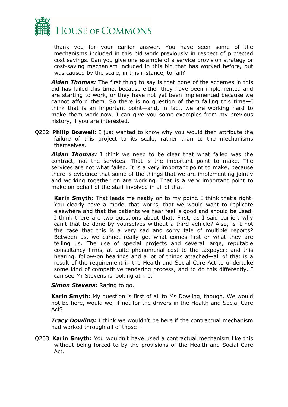

thank you for your earlier answer. You have seen some of the mechanisms included in this bid work previously in respect of projected cost savings. Can you give one example of a service provision strategy or cost-saving mechanism included in this bid that has worked before, but was caused by the scale, in this instance, to fail?

*Aidan Thomas:* The first thing to say is that none of the schemes in this bid has failed this time, because either they have been implemented and are starting to work, or they have not yet been implemented because we cannot afford them. So there is no question of them failing this time—I think that is an important point—and, in fact, we are working hard to make them work now. I can give you some examples from my previous history, if you are interested.

Q202 **Philip Boswell:** I just wanted to know why you would then attribute the failure of this project to its scale, rather than to the mechanisms themselves.

*Aidan Thomas:* I think we need to be clear that what failed was the contract, not the services. That is the important point to make. The services are not what failed. It is a very important point to make, because there is evidence that some of the things that we are implementing jointly and working together on are working. That is a very important point to make on behalf of the staff involved in all of that.

**Karin Smyth:** That leads me neatly on to my point. I think that's right. You clearly have a model that works, that we would want to replicate elsewhere and that the patients we hear feel is good and should be used. I think there are two questions about that. First, as I said earlier, why can't that be done by yourselves without a third vehicle? Also, is it not the case that this is a very sad and sorry tale of multiple reports? Between us, we cannot really get what comes first or what they are telling us. The use of special projects and several large, reputable consultancy firms, at quite phenomenal cost to the taxpayer; and this hearing, follow-on hearings and a lot of things attached—all of that is a result of the requirement in the Health and Social Care Act to undertake some kind of competitive tendering process, and to do this differently. I can see Mr Stevens is looking at me.

#### *Simon Stevens: Raring to go.*

**Karin Smyth:** My question is first of all to Ms Dowling, though. We would not be here, would we, if not for the drivers in the Health and Social Care Act?

*Tracy Dowling:* I think we wouldn't be here if the contractual mechanism had worked through all of those—

Q203 **Karin Smyth:** You wouldn't have used a contractual mechanism like this without being forced to by the provisions of the Health and Social Care Act.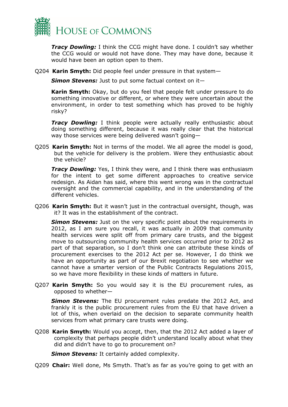

*Tracy Dowling:* I think the CCG might have done. I couldn't say whether the CCG would or would not have done. They may have done, because it would have been an option open to them.

Q204 **Karin Smyth:** Did people feel under pressure in that system—

*Simon Stevens:* Just to put some factual context on it—

**Karin Smyth:** Okay, but do you feel that people felt under pressure to do something innovative or different, or where they were uncertain about the environment, in order to test something which has proved to be highly risky?

**Tracy Dowling:** I think people were actually really enthusiastic about doing something different, because it was really clear that the historical way those services were being delivered wasn't going-

Q205 **Karin Smyth:** Not in terms of the model. We all agree the model is good, but the vehicle for delivery is the problem. Were they enthusiastic about the vehicle?

*Tracy Dowling:* Yes, I think they were, and I think there was enthusiasm for the intent to get some different approaches to creative service redesign. As Aidan has said, where this went wrong was in the contractual oversight and the commercial capability, and in the understanding of the different vehicles.

Q206 **Karin Smyth:** But it wasn't just in the contractual oversight, though, was it? It was in the establishment of the contract.

*Simon Stevens:* Just on the very specific point about the requirements in 2012, as I am sure you recall, it was actually in 2009 that community health services were split off from primary care trusts, and the biggest move to outsourcing community health services occurred prior to 2012 as part of that separation, so I don't think one can attribute these kinds of procurement exercises to the 2012 Act per se. However, I do think we have an opportunity as part of our Brexit negotiation to see whether we cannot have a smarter version of the Public Contracts Regulations 2015, so we have more flexibility in these kinds of matters in future.

Q207 **Karin Smyth:** So you would say it is the EU procurement rules, as opposed to whether—

*Simon Stevens:* The EU procurement rules predate the 2012 Act, and frankly it is the public procurement rules from the EU that have driven a lot of this, when overlaid on the decision to separate community health services from what primary care trusts were doing.

Q208 **Karin Smyth:** Would you accept, then, that the 2012 Act added a layer of complexity that perhaps people didn't understand locally about what they did and didn't have to go to procurement on?

*Simon Stevens:* It certainly added complexity.

Q209 **Chair:** Well done, Ms Smyth. That's as far as you're going to get with an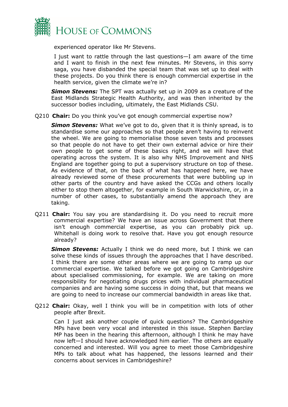

experienced operator like Mr Stevens.

I just want to rattle through the last questions—I am aware of the time and I want to finish in the next few minutes. Mr Stevens, in this sorry saga, you have disbanded the special team that was set up to deal with these projects. Do you think there is enough commercial expertise in the health service, given the climate we're in?

**Simon Stevens:** The SPT was actually set up in 2009 as a creature of the East Midlands Strategic Health Authority, and was then inherited by the successor bodies including, ultimately, the East Midlands CSU.

Q210 **Chair:** Do you think you've got enough commercial expertise now?

**Simon Stevens:** What we've got to do, given that it is thinly spread, is to standardise some our approaches so that people aren't having to reinvent the wheel. We are going to memorialise those seven tests and processes so that people do not have to get their own external advice or hire their own people to get some of these basics right, and we will have that operating across the system. It is also why NHS Improvement and NHS England are together going to put a supervisory structure on top of these. As evidence of that, on the back of what has happened here, we have already reviewed some of these procurements that were bubbling up in other parts of the country and have asked the CCGs and others locally either to stop them altogether, for example in South Warwickshire, or, in a number of other cases, to substantially amend the approach they are taking.

Q211 **Chair:** You say you are standardising it. Do you need to recruit more commercial expertise? We have an issue across Government that there isn't enough commercial expertise, as you can probably pick up. Whitehall is doing work to resolve that. Have you got enough resource already?

*Simon Stevens:* Actually I think we do need more, but I think we can solve these kinds of issues through the approaches that I have described. I think there are some other areas where we are going to ramp up our commercial expertise. We talked before we got going on Cambridgeshire about specialised commissioning, for example. We are taking on more responsibility for negotiating drugs prices with individual pharmaceutical companies and are having some success in doing that, but that means we are going to need to increase our commercial bandwidth in areas like that.

Q212 **Chair:** Okay, well I think you will be in competition with lots of other people after Brexit.

Can I just ask another couple of quick questions? The Cambridgeshire MPs have been very vocal and interested in this issue. Stephen Barclay MP has been in the hearing this afternoon, although I think he may have now left—I should have acknowledged him earlier. The others are equally concerned and interested. Will you agree to meet those Cambridgeshire MPs to talk about what has happened, the lessons learned and their concerns about services in Cambridgeshire?